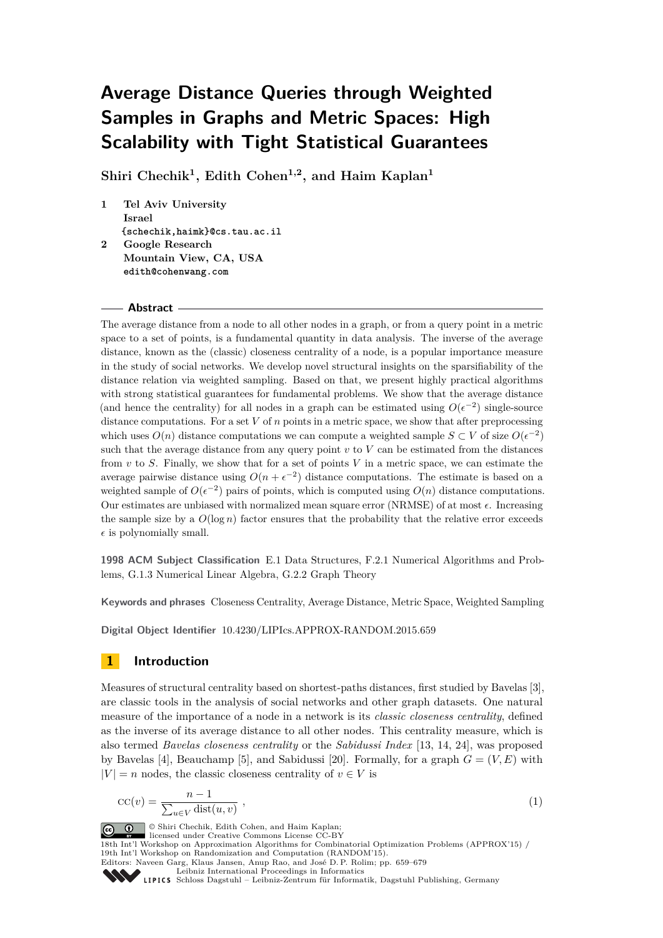# **Average Distance Queries through Weighted Samples in Graphs and Metric Spaces: High Scalability with Tight Statistical Guarantees**

**Shiri Chechik<sup>1</sup> , Edith Cohen1,2, and Haim Kaplan<sup>1</sup>**

**1 Tel Aviv University Israel {schechik,haimk}@cs.tau.ac.il 2 Google Research Mountain View, CA, USA edith@cohenwang.com**

#### **Abstract**

The average distance from a node to all other nodes in a graph, or from a query point in a metric space to a set of points, is a fundamental quantity in data analysis. The inverse of the average distance, known as the (classic) closeness centrality of a node, is a popular importance measure in the study of social networks. We develop novel structural insights on the sparsifiability of the distance relation via weighted sampling. Based on that, we present highly practical algorithms with strong statistical guarantees for fundamental problems. We show that the average distance (and hence the centrality) for all nodes in a graph can be estimated using  $O(\epsilon^{-2})$  single-source distance computations. For a set *V* of *n* points in a metric space, we show that after preprocessing which uses  $O(n)$  distance computations we can compute a weighted sample  $S \subset V$  of size  $O(\epsilon^{-2})$ such that the average distance from any query point  $v$  to  $V$  can be estimated from the distances from *v* to *S*. Finally, we show that for a set of points *V* in a metric space, we can estimate the average pairwise distance using  $O(n + \epsilon^{-2})$  distance computations. The estimate is based on a weighted sample of  $O(\epsilon^{-2})$  pairs of points, which is computed using  $O(n)$  distance computations. Our estimates are unbiased with normalized mean square error (NRMSE) of at most  $\epsilon$ . Increasing the sample size by a  $O(\log n)$  factor ensures that the probability that the relative error exceeds  $\epsilon$  is polynomially small.

**1998 ACM Subject Classification** E.1 Data Structures, F.2.1 Numerical Algorithms and Problems, G.1.3 Numerical Linear Algebra, G.2.2 Graph Theory

**Keywords and phrases** Closeness Centrality, Average Distance, Metric Space, Weighted Sampling

**Digital Object Identifier** [10.4230/LIPIcs.APPROX-RANDOM.2015.659](http://dx.doi.org/10.4230/LIPIcs.APPROX-RANDOM.2015.659)

# **1 Introduction**

Measures of structural centrality based on shortest-paths distances, first studied by Bavelas [\[3\]](#page-19-0), are classic tools in the analysis of social networks and other graph datasets. One natural measure of the importance of a node in a network is its *classic closeness centrality*, defined as the inverse of its average distance to all other nodes. This centrality measure, which is also termed *Bavelas closeness centrality* or the *Sabidussi Index* [\[13,](#page-19-1) [14,](#page-19-2) [24\]](#page-20-0), was proposed by Bavelas [\[4\]](#page-19-3), Beauchamp [\[5\]](#page-19-4), and Sabidussi [\[20\]](#page-20-1). Formally, for a graph  $G = (V, E)$  with  $|V| = n$  nodes, the classic closeness centrality of  $v \in V$  is

$$
cc(v) = \frac{n-1}{\sum_{u \in V} \text{dist}(u, v)},
$$
\n(1)

© Shiri Chechik, Edith Cohen, and Haim Kaplan; licensed under Creative Commons License CC-BY 18th Int'l Workshop on Approximation Algorithms for Combinatorial Optimization Problems (APPROX'15) / 19th Int'l Workshop on Randomization and Computation (RANDOM'15). Editors: Naveen Garg, Klaus Jansen, Anup Rao, and José D. P. Rolim; pp. 659[–679](#page-20-2) [Leibniz International Proceedings in Informatics](http://www.dagstuhl.de/lipics/) [Schloss Dagstuhl – Leibniz-Zentrum für Informatik, Dagstuhl Publishing, Germany](http://www.dagstuhl.de)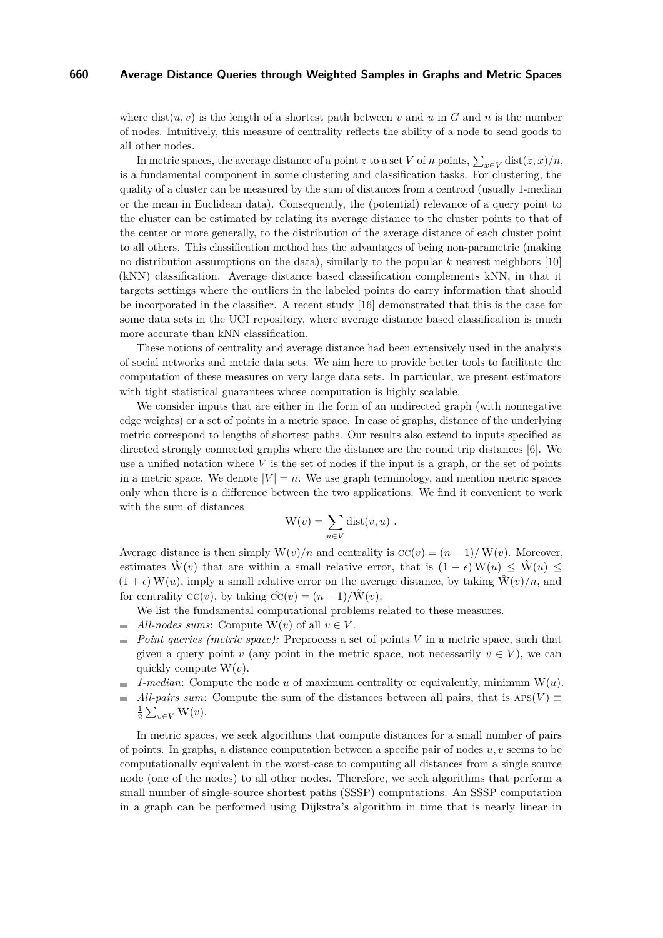where  $dist(u, v)$  is the length of a shortest path between v and u in G and n is the number of nodes. Intuitively, this measure of centrality reflects the ability of a node to send goods to all other nodes.

In metric spaces, the average distance of a point *z* to a set *V* of *n* points,  $\sum_{x \in V} \text{dist}(z, x)/n$ , is a fundamental component in some clustering and classification tasks. For clustering, the quality of a cluster can be measured by the sum of distances from a centroid (usually 1-median or the mean in Euclidean data). Consequently, the (potential) relevance of a query point to the cluster can be estimated by relating its average distance to the cluster points to that of the center or more generally, to the distribution of the average distance of each cluster point to all others. This classification method has the advantages of being non-parametric (making no distribution assumptions on the data), similarly to the popular *k* nearest neighbors [\[10\]](#page-19-5) (kNN) classification. Average distance based classification complements kNN, in that it targets settings where the outliers in the labeled points do carry information that should be incorporated in the classifier. A recent study [\[16\]](#page-19-6) demonstrated that this is the case for some data sets in the UCI repository, where average distance based classification is much more accurate than kNN classification.

These notions of centrality and average distance had been extensively used in the analysis of social networks and metric data sets. We aim here to provide better tools to facilitate the computation of these measures on very large data sets. In particular, we present estimators with tight statistical guarantees whose computation is highly scalable.

We consider inputs that are either in the form of an undirected graph (with nonnegative edge weights) or a set of points in a metric space. In case of graphs, distance of the underlying metric correspond to lengths of shortest paths. Our results also extend to inputs specified as directed strongly connected graphs where the distance are the round trip distances [\[6\]](#page-19-7). We use a unified notation where  $V$  is the set of nodes if the input is a graph, or the set of points in a metric space. We denote  $|V| = n$ . We use graph terminology, and mention metric spaces only when there is a difference between the two applications. We find it convenient to work with the sum of distances

$$
W(v) = \sum_{u \in V} \text{dist}(v, u) .
$$

Average distance is then simply  $W(v)/n$  and centrality is  $CC(v) = (n-1)/W(v)$ . Moreover, estimates  $\hat{W}(v)$  that are within a small relative error, that is  $(1 - \epsilon)W(u) \leq \hat{W}(u)$  $(1 + \epsilon) W(u)$ , imply a small relative error on the average distance, by taking  $\hat{W}(v)/n$ , and for centrality  $\mathrm{cc}(v)$ , by taking  $\hat{\mathrm{cc}}(v) = (n-1)/\mathrm{W}(v)$ .

We list the fundamental computational problems related to these measures.

- $\blacksquare$  *All-nodes sums*: Compute W(*v*) of all  $v \in V$ .
- *Point queries (metric space):* Preprocess a set of points *V* in a metric space, such that given a query point *v* (any point in the metric space, not necessarily  $v \in V$ ), we can quickly compute W(*v*).
- $\blacksquare$  *1-median*: Compute the node *u* of maximum centrality or equivalently, minimum  $W(u)$ .
- $\equiv$ *All-pairs sum*: Compute the sum of the distances between all pairs, that is  $APS(V) \equiv$  $\frac{1}{2} \sum_{v \in V} W(v)$ .

In metric spaces, we seek algorithms that compute distances for a small number of pairs of points. In graphs, a distance computation between a specific pair of nodes  $u, v$  seems to be computationally equivalent in the worst-case to computing all distances from a single source node (one of the nodes) to all other nodes. Therefore, we seek algorithms that perform a small number of single-source shortest paths (SSSP) computations. An SSSP computation in a graph can be performed using Dijkstra's algorithm in time that is nearly linear in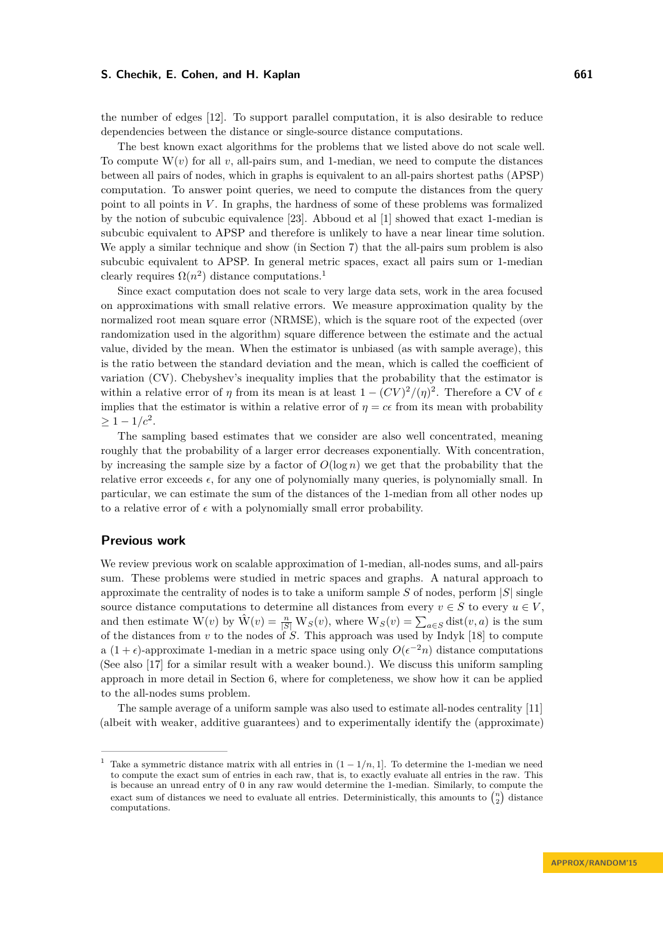the number of edges [\[12\]](#page-19-8). To support parallel computation, it is also desirable to reduce dependencies between the distance or single-source distance computations.

The best known exact algorithms for the problems that we listed above do not scale well. To compute  $W(v)$  for all  $v$ , all-pairs sum, and 1-median, we need to compute the distances between all pairs of nodes, which in graphs is equivalent to an all-pairs shortest paths (APSP) computation. To answer point queries, we need to compute the distances from the query point to all points in *V* . In graphs, the hardness of some of these problems was formalized by the notion of subcubic equivalence [\[23\]](#page-20-3). Abboud et al [\[1\]](#page-19-9) showed that exact 1-median is subcubic equivalent to APSP and therefore is unlikely to have a near linear time solution. We apply a similar technique and show (in Section [7\)](#page-16-0) that the all-pairs sum problem is also subcubic equivalent to APSP. In general metric spaces, exact all pairs sum or 1-median clearly requires  $\Omega(n^2)$  distance computations.<sup>[1](#page-2-0)</sup>

Since exact computation does not scale to very large data sets, work in the area focused on approximations with small relative errors. We measure approximation quality by the normalized root mean square error (NRMSE), which is the square root of the expected (over randomization used in the algorithm) square difference between the estimate and the actual value, divided by the mean. When the estimator is unbiased (as with sample average), this is the ratio between the standard deviation and the mean, which is called the coefficient of variation (CV). Chebyshev's inequality implies that the probability that the estimator is within a relative error of *η* from its mean is at least  $1 - (CV)^2/(\eta)^2$ . Therefore a CV of  $\epsilon$ implies that the estimator is within a relative error of  $\eta = ce$  from its mean with probability  $\geq 1-1/c^2$ .

The sampling based estimates that we consider are also well concentrated, meaning roughly that the probability of a larger error decreases exponentially. With concentration, by increasing the sample size by a factor of  $O(\log n)$  we get that the probability that the relative error exceeds  $\epsilon$ , for any one of polynomially many queries, is polynomially small. In particular, we can estimate the sum of the distances of the 1-median from all other nodes up to a relative error of  $\epsilon$  with a polynomially small error probability.

## **Previous work**

We review previous work on scalable approximation of 1-median, all-nodes sums, and all-pairs sum. These problems were studied in metric spaces and graphs. A natural approach to approximate the centrality of nodes is to take a uniform sample *S* of nodes, perform |*S*| single source distance computations to determine all distances from every  $v \in S$  to every  $u \in V$ . and then estimate W(*v*) by  $\hat{W}(v) = \frac{n}{|S|} W_S(v)$ , where  $W_S(v) = \sum_{a \in S} \text{dist}(v, a)$  is the sum of the distances from *v* to the nodes of *S*. This approach was used by Indyk [\[18\]](#page-20-4) to compute a  $(1 + \epsilon)$ -approximate 1-median in a metric space using only  $O(\epsilon^{-2}n)$  distance computations (See also [\[17\]](#page-19-10) for a similar result with a weaker bound.). We discuss this uniform sampling approach in more detail in Section [6,](#page-15-0) where for completeness, we show how it can be applied to the all-nodes sums problem.

The sample average of a uniform sample was also used to estimate all-nodes centrality [\[11\]](#page-19-11) (albeit with weaker, additive guarantees) and to experimentally identify the (approximate)

<span id="page-2-0"></span>Take a symmetric distance matrix with all entries in  $(1 - 1/n, 1]$ . To determine the 1-median we need to compute the exact sum of entries in each raw, that is, to exactly evaluate all entries in the raw. This is because an unread entry of 0 in any raw would determine the 1-median. Similarly, to compute the exact sum of distances we need to evaluate all entries. Deterministically, this amounts to  $\binom{n}{2}$  distance computations.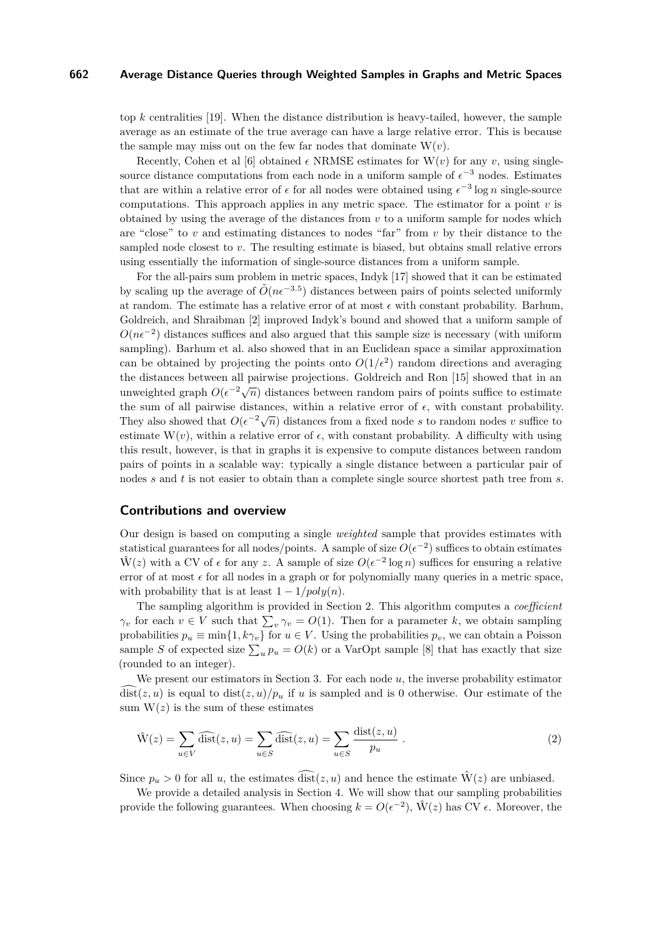top *k* centralities [\[19\]](#page-20-5). When the distance distribution is heavy-tailed, however, the sample average as an estimate of the true average can have a large relative error. This is because the sample may miss out on the few far nodes that dominate  $W(v)$ .

Recently, Cohen et al [\[6\]](#page-19-7) obtained  $\epsilon$  NRMSE estimates for  $W(v)$  for any *v*, using singlesource distance computations from each node in a uniform sample of  $\epsilon^{-3}$  nodes. Estimates that are within a relative error of  $\epsilon$  for all nodes were obtained using  $\epsilon^{-3} \log n$  single-source computations. This approach applies in any metric space. The estimator for a point *v* is obtained by using the average of the distances from *v* to a uniform sample for nodes which are "close" to *v* and estimating distances to nodes "far" from *v* by their distance to the sampled node closest to *v*. The resulting estimate is biased, but obtains small relative errors using essentially the information of single-source distances from a uniform sample.

For the all-pairs sum problem in metric spaces, Indyk [\[17\]](#page-19-10) showed that it can be estimated by scaling up the average of  $\tilde{O}(n\epsilon^{-3.5})$  distances between pairs of points selected uniformly at random. The estimate has a relative error of at most  $\epsilon$  with constant probability. Barhum, Goldreich, and Shraibman [\[2\]](#page-19-12) improved Indyk's bound and showed that a uniform sample of  $O(n\epsilon^{-2})$  distances suffices and also argued that this sample size is necessary (with uniform sampling). Barhum et al. also showed that in an Euclidean space a similar approximation can be obtained by projecting the points onto  $O(1/\epsilon^2)$  random directions and averaging the distances between all pairwise projections. Goldreich and Ron [\[15\]](#page-19-13) showed that in an unweighted graph  $O(\epsilon^{-2}\sqrt{n})$  distances between random pairs of points suffice to estimate unweighted graph  $O(\epsilon^{-2}\sqrt{n})$  distances between random pairs of points suffice to estimate the sum of all pairwise distances, within a relative error of  $\epsilon$ , with constant probability. They also showed that  $O(\epsilon^{-2}\sqrt{n})$  distances from a fixed node *s* to random nodes *v* suffice to estimate  $W(v)$ , within a relative error of  $\epsilon$ , with constant probability. A difficulty with using this result, however, is that in graphs it is expensive to compute distances between random pairs of points in a scalable way: typically a single distance between a particular pair of nodes *s* and *t* is not easier to obtain than a complete single source shortest path tree from *s*.

#### **Contributions and overview**

Our design is based on computing a single *weighted* sample that provides estimates with statistical guarantees for all nodes/points. A sample of size  $O(\epsilon^{-2})$  suffices to obtain estimates  $\hat{W}(z)$  with a CV of  $\epsilon$  for any z. A sample of size  $O(\epsilon^{-2} \log n)$  suffices for ensuring a relative error of at most  $\epsilon$  for all nodes in a graph or for polynomially many queries in a metric space, with probability that is at least  $1 - 1/poly(n)$ .

The sampling algorithm is provided in Section [2.](#page-5-0) This algorithm computes a *coefficient γ*<sup>*v*</sup> for each  $v \in V$  such that  $\sum_{v} \gamma_v = O(1)$ . Then for a parameter *k*, we obtain sampling probabilities  $p_u \equiv \min\{1, k\gamma_v\}$  for  $u \in V$ . Using the probabilities  $p_v$ , we can obtain a Poisson sample *S* of expected size  $\sum_{u} p_u = O(k)$  or a VarOpt sample [\[8\]](#page-19-14) that has exactly that size (rounded to an integer).

We present our estimators in Section [3.](#page-6-0) For each node *u*, the inverse probability estimator  $\widehat{\text{dist}}(z, u)$  is equal to  $\text{dist}(z, u)/p_u$  if *u* is sampled and is 0 otherwise. Our estimate of the sum  $W(z)$  is the sum of these estimates

<span id="page-3-0"></span>
$$
\hat{W}(z) = \sum_{u \in V} \widehat{\text{dist}}(z, u) = \sum_{u \in S} \widehat{\text{dist}}(z, u) = \sum_{u \in S} \frac{\text{dist}(z, u)}{p_u} . \tag{2}
$$

Since  $p_u > 0$  for all *u*, the estimates  $\overline{\text{dist}}(z, u)$  and hence the estimate  $\hat{W}(z)$  are unbiased.

We provide a detailed analysis in Section [4.](#page-7-0) We will show that our sampling probabilities provide the following guarantees. When choosing  $k = O(\epsilon^{-2})$ ,  $\hat{W}(z)$  has CV  $\epsilon$ . Moreover, the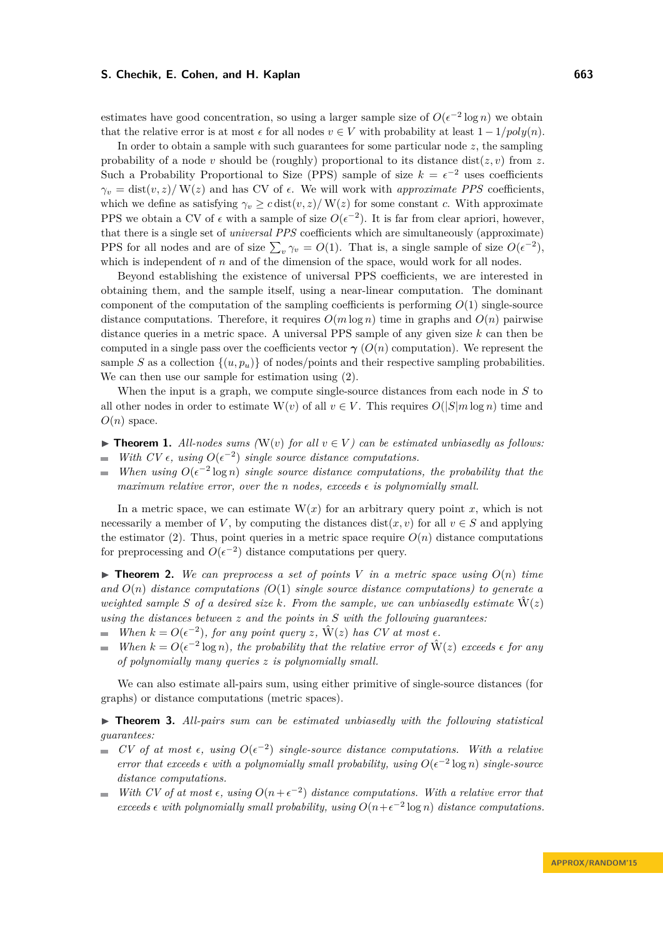estimates have good concentration, so using a larger sample size of  $O(\epsilon^{-2} \log n)$  we obtain that the relative error is at most  $\epsilon$  for all nodes  $v \in V$  with probability at least  $1 - 1/poly(n)$ .

In order to obtain a sample with such guarantees for some particular node *z*, the sampling probability of a node *v* should be (roughly) proportional to its distance dist $(z, v)$  from *z*. Such a Probability Proportional to Size (PPS) sample of size  $k = \epsilon^{-2}$  uses coefficients  $\gamma_v = \text{dist}(v, z) / W(z)$  and has CV of  $\epsilon$ . We will work with *approximate PPS* coefficients, which we define as satisfying  $\gamma_v \geq c \text{dist}(v, z) / W(z)$  for some constant *c*. With approximate PPS we obtain a CV of  $\epsilon$  with a sample of size  $O(\epsilon^{-2})$ . It is far from clear apriori, however, that there is a single set of *universal PPS* coefficients which are simultaneously (approximate) PPS for all nodes and are of size  $\sum_{v} \gamma_v = O(1)$ . That is, a single sample of size  $O(\epsilon^{-2})$ , which is independent of *n* and of the dimension of the space, would work for all nodes.

Beyond establishing the existence of universal PPS coefficients, we are interested in obtaining them, and the sample itself, using a near-linear computation. The dominant component of the computation of the sampling coefficients is performing *O*(1) single-source distance computations. Therefore, it requires  $O(m \log n)$  time in graphs and  $O(n)$  pairwise distance queries in a metric space. A universal PPS sample of any given size *k* can then be computed in a single pass over the coefficients vector  $\gamma$  ( $O(n)$ ) computation). We represent the sample *S* as a collection  $\{(u, p_u)\}\$  of nodes/points and their respective sampling probabilities. We can then use our sample for estimation using [\(2\)](#page-3-0).

When the input is a graph, we compute single-source distances from each node in *S* to all other nodes in order to estimate  $W(v)$  of all  $v \in V$ . This requires  $O(|S|m \log n)$  time and  $O(n)$  space.

- <span id="page-4-0"></span>▶ **Theorem 1.** All-nodes sums ( $W(v)$  for all  $v \in V$ ) can be estimated unbiasedly as follows: *With CV*  $\epsilon$ , *using*  $O(\epsilon^{-2})$  *single source distance computations.* ÷
- *When using*  $O(\epsilon^{-2} \log n)$  *single source distance computations, the probability that the maximum relative error, over the n nodes, exceeds*  $\epsilon$  *is polynomially small.*

In a metric space, we can estimate  $W(x)$  for an arbitrary query point x, which is not necessarily a member of *V*, by computing the distances dist $(x, v)$  for all  $v \in S$  and applying the estimator [\(2\)](#page-3-0). Thus, point queries in a metric space require  $O(n)$  distance computations for preprocessing and  $O(\epsilon^{-2})$  distance computations per query.

<span id="page-4-1"></span> $\triangleright$  **Theorem 2.** We can preprocess a set of points V in a metric space using  $O(n)$  time *and O*(*n*) *distance computations (O*(1) *single source distance computations) to generate a weighted sample S* of a desired size k. From the sample, we can unbiasedly estimate  $\hat{W}(z)$ *using the distances between z and the points in S with the following guarantees:*

- *When*  $k = O(\epsilon^{-2})$ *, for any point query z*,  $\hat{W}(z)$  *has CV at most*  $\epsilon$ *.*  $\blacksquare$
- *When*  $k = O(\epsilon^{-2} \log n)$ *, the probability that the relative error of*  $\hat{W}(z)$  *exceeds*  $\epsilon$  *for any of polynomially many queries z is polynomially small.*

We can also estimate all-pairs sum, using either primitive of single-source distances (for graphs) or distance computations (metric spaces).

<span id="page-4-2"></span>▶ **Theorem 3.** *All-pairs sum can be estimated unbiasedly with the following statistical guarantees:*

- *CV* of at most  $\epsilon$ , using  $O(\epsilon^{-2})$  single-source distance computations. With a relative *error that exceeds*  $\epsilon$  with a polynomially small probability, using  $O(\epsilon^{-2} \log n)$  single-source *distance computations.*
- *With CV of at most*  $\epsilon$ , using  $O(n+\epsilon^{-2})$  *distance computations. With a relative error that*  $\equiv$ *exceeds*  $\epsilon$  with polynomially small probability, using  $O(n+\epsilon^{-2} \log n)$  *distance computations.*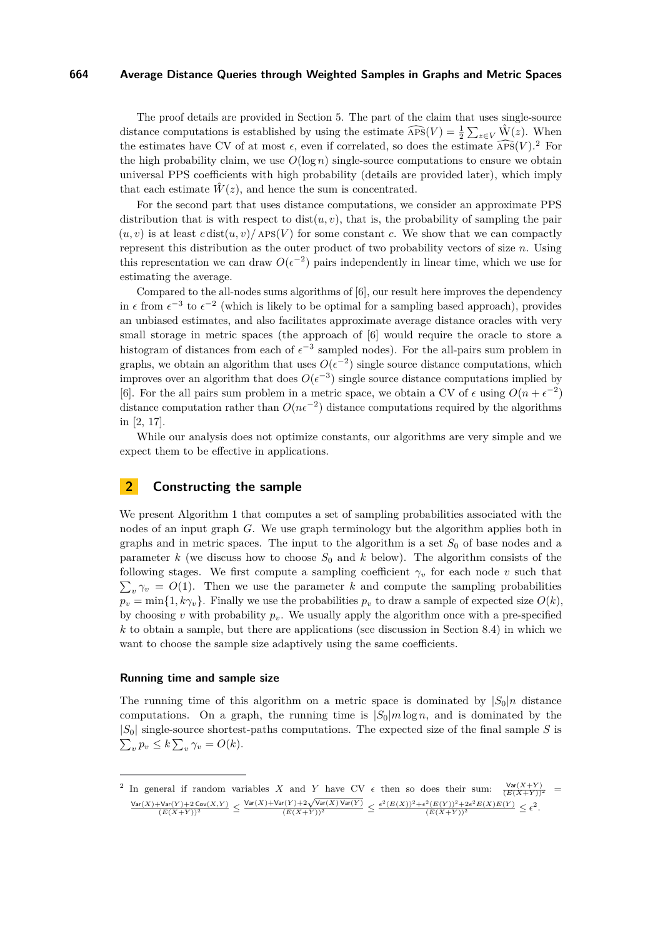The proof details are provided in Section [5.](#page-13-0) The part of the claim that uses single-source distance computations is established by using the estimate  $\widehat{APS}(V) = \frac{1}{2} \sum_{z \in V} \widehat{W}(z)$ . When the estimates have CV of at most  $\epsilon$ , even if correlated, so does the estimate  $\widehat{APS}(V)$ .<sup>[2](#page-5-1)</sup> For the high probability claim, we use  $O(\log n)$  single-source computations to ensure we obtain universal PPS coefficients with high probability (details are provided later), which imply that each estimate  $\hat{W}(z)$ , and hence the sum is concentrated.

For the second part that uses distance computations, we consider an approximate PPS distribution that is with respect to  $dist(u, v)$ , that is, the probability of sampling the pair  $(u, v)$  is at least  $c \text{dist}(u, v) / \text{APS}(V)$  for some constant c. We show that we can compactly represent this distribution as the outer product of two probability vectors of size *n*. Using this representation we can draw  $O(\epsilon^{-2})$  pairs independently in linear time, which we use for estimating the average.

Compared to the all-nodes sums algorithms of [\[6\]](#page-19-7), our result here improves the dependency in  $\epsilon$  from  $\epsilon^{-3}$  to  $\epsilon^{-2}$  (which is likely to be optimal for a sampling based approach), provides an unbiased estimates, and also facilitates approximate average distance oracles with very small storage in metric spaces (the approach of [\[6\]](#page-19-7) would require the oracle to store a histogram of distances from each of  $\epsilon^{-3}$  sampled nodes). For the all-pairs sum problem in graphs, we obtain an algorithm that uses  $O(\epsilon^{-2})$  single source distance computations, which improves over an algorithm that does  $O(\epsilon^{-3})$  single source distance computations implied by [\[6\]](#page-19-7). For the all pairs sum problem in a metric space, we obtain a CV of  $\epsilon$  using  $O(n + \epsilon^{-2})$ distance computation rather than  $O(n\epsilon^{-2})$  distance computations required by the algorithms in [\[2,](#page-19-12) [17\]](#page-19-10).

While our analysis does not optimize constants, our algorithms are very simple and we expect them to be effective in applications.

# <span id="page-5-0"></span>**2 Constructing the sample**

We present Algorithm [1](#page-6-1) that computes a set of sampling probabilities associated with the nodes of an input graph *G*. We use graph terminology but the algorithm applies both in graphs and in metric spaces. The input to the algorithm is a set  $S<sub>0</sub>$  of base nodes and a parameter  $k$  (we discuss how to choose  $S_0$  and  $k$  below). The algorithm consists of the following stages. We first compute a sampling coefficient  $\gamma_v$  for each node *v* such that  $\sum_{v} \gamma_{v} = O(1)$ . Then we use the parameter *k* and compute the sampling probabilities  $p_v = \min\{1, k\gamma_v\}$ . Finally we use the probabilities  $p_v$  to draw a sample of expected size  $O(k)$ , by choosing *v* with probability  $p_v$ . We usually apply the algorithm once with a pre-specified *k* to obtain a sample, but there are applications (see discussion in Section [8.4\)](#page-18-0) in which we want to choose the sample size adaptively using the same coefficients.

#### **Running time and sample size**

The running time of this algorithm on a metric space is dominated by  $|S_0|n$  distance computations. On a graph, the running time is  $|S_0|m\log n$ , and is dominated by the |*S*0| single-source shortest-paths computations. The expected size of the final sample *S* is  $\sum_{v} p_v \leq k \sum_{v} \gamma_v = O(k).$ 

<span id="page-5-1"></span><sup>&</sup>lt;sup>2</sup> In general if random variables *X* and *Y* have CV  $\epsilon$  then so does their sum:  $\frac{\text{Var}(X+Y)}{(E(X+Y))^2}$  =  $\frac{\text{Var}(X) + \text{Var}(Y) + 2\text{Cov}(X, Y)}{(E(X+Y))^2} \leq \frac{\text{Var}(X) + \text{Var}(Y) + 2\sqrt{\text{Var}(X) \text{Var}(Y)}}{(E(X+Y))^2} \leq \frac{\epsilon^2 (E(X))^2 + \epsilon^2 (E(Y))^2 + 2\epsilon^2 E(X)E(Y)}{(E(X+Y))^2} \leq \epsilon^2.$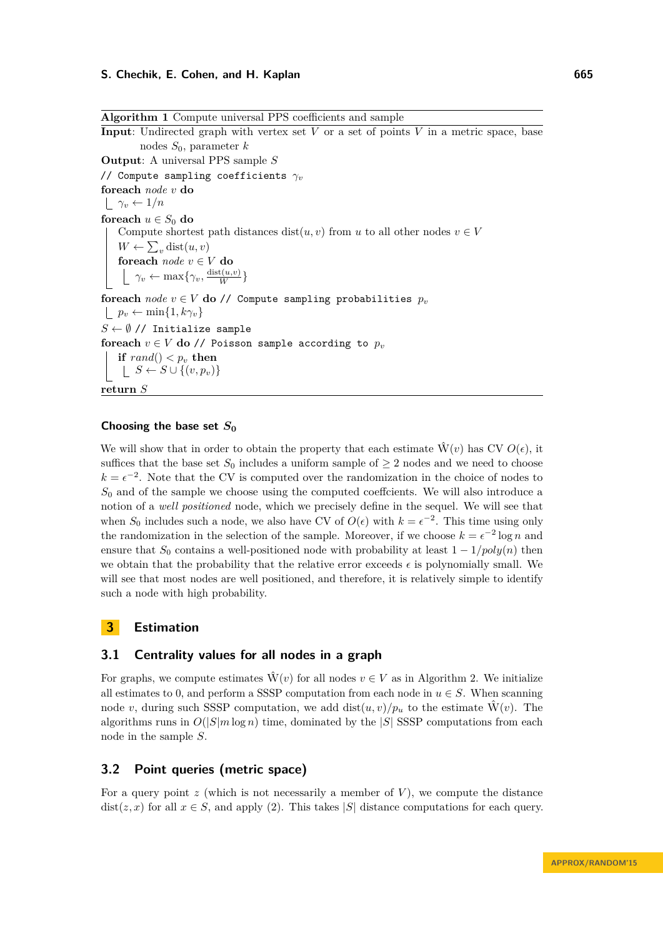<span id="page-6-1"></span>**Algorithm 1** Compute universal PPS coefficients and sample **Input:** Undirected graph with vertex set  $V$  or a set of points  $V$  in a metric space, base nodes *S*0, parameter *k* **Output**: A universal PPS sample *S* // Compute sampling coefficients *γ<sup>v</sup>* **foreach** *node v* **do**  $\gamma_v \leftarrow 1/n$ **foreach**  $u \in S_0$  **do** Compute shortest path distances  $dist(u, v)$  from *u* to all other nodes  $v \in V$  $W \leftarrow \sum_{v} \text{dist}(u, v)$ **foreach** *node v* ∈ *V* **do**  $\gamma_v \leftarrow \max\{\gamma_v, \frac{\text{dist}(u,v)}{W}\}$ **foreach** *node*  $v \in V$  **do** // Compute sampling probabilities  $p_v$  $| p_v \leftarrow \min\{1, k\gamma_v\}$  $S \leftarrow \emptyset$  // Initialize sample **foreach**  $v \in V$  **do** // Poisson sample according to  $p_v$ **if**  $rand() < p_v$  **then**  $\bigcup S \leftarrow S \cup \{(v, p_v)\}\$ **return** *S*

#### Choosing the base set  $S_0$

We will show that in order to obtain the property that each estimate  $\hat{W}(v)$  has CV  $O(\epsilon)$ , it suffices that the base set  $S_0$  includes a uniform sample of  $\geq 2$  nodes and we need to choose  $k = \epsilon^{-2}$ . Note that the CV is computed over the randomization in the choice of nodes to *S*<sup>0</sup> and of the sample we choose using the computed coeffcients. We will also introduce a notion of a *well positioned* node, which we precisely define in the sequel. We will see that when  $S_0$  includes such a node, we also have CV of  $O(\epsilon)$  with  $k = \epsilon^{-2}$ . This time using only the randomization in the selection of the sample. Moreover, if we choose  $k = \epsilon^{-2} \log n$  and ensure that  $S_0$  contains a well-positioned node with probability at least  $1 - 1/poly(n)$  then we obtain that the probability that the relative error exceeds  $\epsilon$  is polynomially small. We will see that most nodes are well positioned, and therefore, it is relatively simple to identify such a node with high probability.

# <span id="page-6-0"></span>**3 Estimation**

## **3.1 Centrality values for all nodes in a graph**

For graphs, we compute estimates  $\hat{W}(v)$  for all nodes  $v \in V$  as in Algorithm [2.](#page-7-1) We initialize all estimates to 0, and perform a SSSP computation from each node in  $u \in S$ . When scanning node *v*, during such SSSP computation, we add dist $(u, v)/p_u$  to the estimate  $\hat{W}(v)$ . The algorithms runs in  $O(|S|m \log n)$  time, dominated by the  $|S|$  SSSP computations from each node in the sample *S*.

## **3.2 Point queries (metric space)**

For a query point *z* (which is not necessarily a member of *V* ), we compute the distance dist(*z*, *x*) for all  $x \in S$ , and apply [\(2\)](#page-3-0). This takes |*S*| distance computations for each query.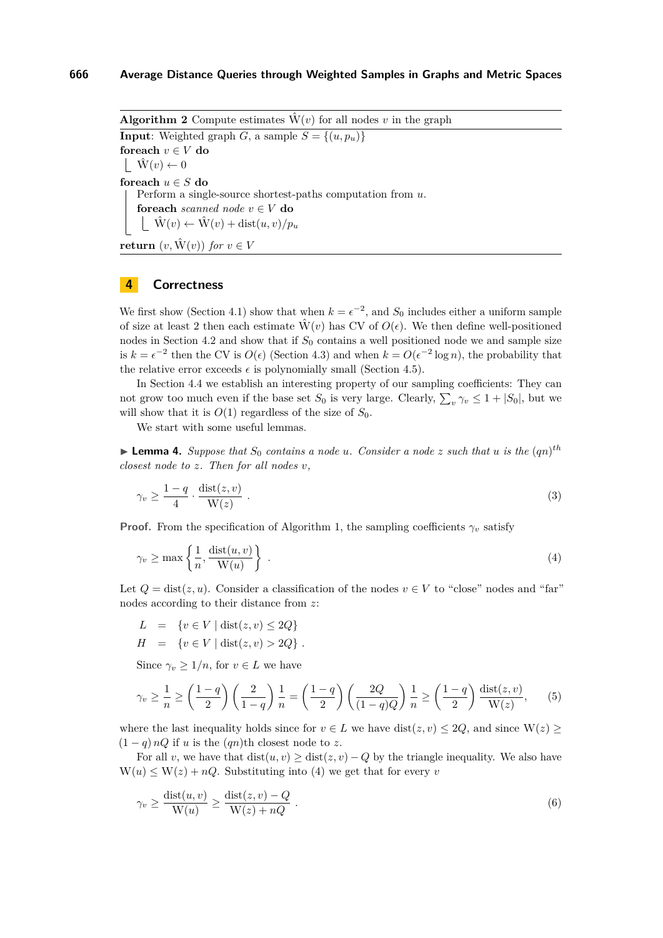<span id="page-7-1"></span>**Algorithm 2** Compute estimates  $\hat{W}(v)$  for all nodes *v* in the graph **Input**: Weighted graph *G*, a sample  $S = \{(u, p_u)\}\$ **foreach**  $v \in V$  **do**  $|\hat{\mathbf{W}}(v)| \leftarrow 0$ **foreach**  $u \in S$  **do** Perform a single-source shortest-paths computation from *u*. **foreach** *scanned node*  $v \in V$  **do**  $|\hat{\mathbf{W}}(v) \leftarrow \hat{\mathbf{W}}(v) + \text{dist}(u, v)/p_u$ **return**  $(v, \hat{W}(v))$  *for*  $v \in V$ 

# <span id="page-7-0"></span>**4 Correctness**

We first show (Section [4.1\)](#page-8-0) show that when  $k = \epsilon^{-2}$ , and  $S_0$  includes either a uniform sample of size at least 2 then each estimate  $\hat{W}(v)$  has CV of  $O(\epsilon)$ . We then define well-positioned nodes in Section [4.2](#page-9-0) and show that if  $S_0$  contains a well positioned node we and sample size is  $k = \epsilon^{-2}$  then the CV is  $O(\epsilon)$  (Section [4.3\)](#page-10-0) and when  $k = O(\epsilon^{-2} \log n)$ , the probability that the relative error exceeds  $\epsilon$  is polynomially small (Section [4.5\)](#page-11-0).

In Section [4.4](#page-11-1) we establish an interesting property of our sampling coefficients: They can not grow too much even if the base set  $S_0$  is very large. Clearly,  $\sum_{v} \gamma_v \leq 1 + |S_0|$ , but we will show that it is  $O(1)$  regardless of the size of  $S_0$ .

We start with some useful lemmas.

<span id="page-7-5"></span>**Example 4.** Suppose that  $S_0$  contains a node *u*. Consider a node *z* such that *u* is the  $(qn)^{th}$ *closest node to z. Then for all nodes v,*

<span id="page-7-2"></span>
$$
\gamma_v \ge \frac{1-q}{4} \cdot \frac{\text{dist}(z,v)}{\text{W}(z)} \tag{3}
$$

**Proof.** From the specification of Algorithm [1,](#page-6-1) the sampling coefficients  $\gamma_v$  satisfy

$$
\gamma_v \ge \max\left\{\frac{1}{n}, \frac{\text{dist}(u, v)}{\text{W}(u)}\right\} \tag{4}
$$

Let  $Q = \text{dist}(z, u)$ . Consider a classification of the nodes  $v \in V$  to "close" nodes and "far" nodes according to their distance from *z*:

$$
L \quad = \quad \{ v \in V \mid \operatorname{dist}(z,v) \leq 2Q \}
$$

<span id="page-7-4"></span>
$$
H = \{ v \in V \mid \text{dist}(z, v) > 2Q \} .
$$

Since  $\gamma_v \geq 1/n$ , for  $v \in L$  we have

$$
\gamma_v \ge \frac{1}{n} \ge \left(\frac{1-q}{2}\right) \left(\frac{2}{1-q}\right) \frac{1}{n} = \left(\frac{1-q}{2}\right) \left(\frac{2Q}{(1-q)Q}\right) \frac{1}{n} \ge \left(\frac{1-q}{2}\right) \frac{\text{dist}(z,v)}{\text{W}(z)},\tag{5}
$$

where the last inequality holds since for  $v \in L$  we have dist $(z, v) \leq 2Q$ , and since  $W(z) \geq$  $(1 - q) nQ$  if *u* is the  $(qn)$ th closest node to *z*.

For all *v*, we have that  $dist(u, v) \geq dist(z, v) - Q$  by the triangle inequality. We also have  $W(u) \leq W(z) + nQ$ . Substituting into [\(4\)](#page-7-2) we get that for every *v* 

<span id="page-7-3"></span>
$$
\gamma_v \ge \frac{\text{dist}(u, v)}{\text{W}(u)} \ge \frac{\text{dist}(z, v) - Q}{\text{W}(z) + nQ} \ . \tag{6}
$$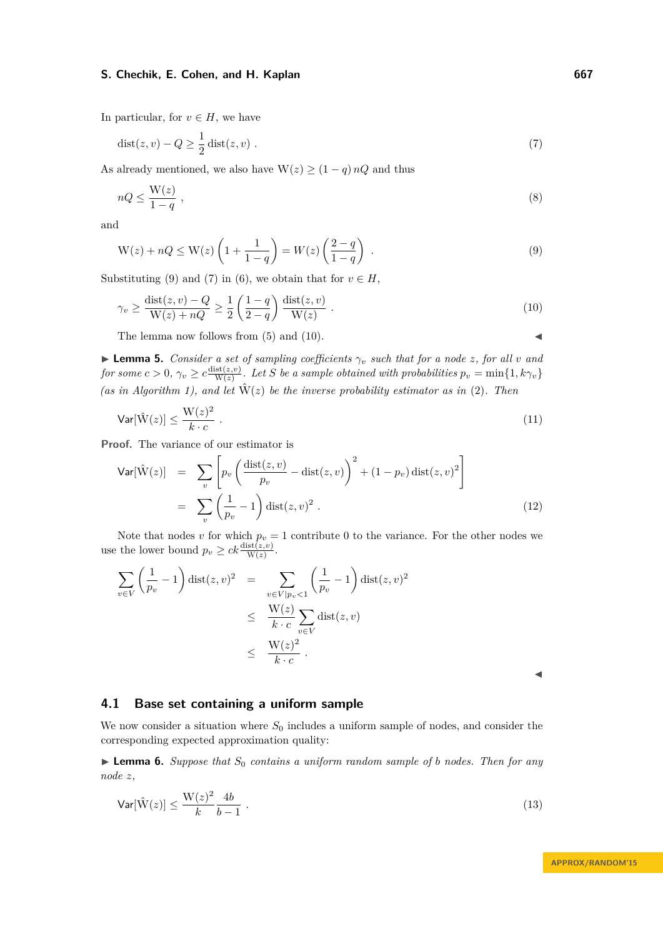In particular, for  $v \in H$ , we have

<span id="page-8-2"></span>
$$
dist(z, v) - Q \ge \frac{1}{2} dist(z, v) .
$$
\n<sup>(7)</sup>

As already mentioned, we also have  $W(z) \geq (1 - q) nQ$  and thus

$$
nQ \le \frac{W(z)}{1-q} \t{,} \t(8)
$$

<span id="page-8-1"></span>and

$$
W(z) + nQ \le W(z) \left( 1 + \frac{1}{1-q} \right) = W(z) \left( \frac{2-q}{1-q} \right) . \tag{9}
$$

Substituting [\(9\)](#page-8-1) and [\(7\)](#page-8-2) in [\(6\)](#page-7-3), we obtain that for  $v \in H$ ,

<span id="page-8-3"></span>
$$
\gamma_v \ge \frac{\text{dist}(z, v) - Q}{\text{W}(z) + nQ} \ge \frac{1}{2} \left( \frac{1 - q}{2 - q} \right) \frac{\text{dist}(z, v)}{\text{W}(z)} . \tag{10}
$$

The lemma now follows from  $(5)$  and  $(10)$ .

<span id="page-8-4"></span>**I Lemma 5.** *Consider a set of sampling coefficients*  $\gamma_v$  *such that for a node z, for all v and*  $f \circ f$  *for some*  $c > 0$ ,  $\gamma_v \geq c \frac{\text{dist}(z,v)}{\text{W}(z)}$ . Let *S* be a sample obtained with probabilities  $p_v = \min\{1, k\gamma_v\}$ *(as in Algorithm [1\)](#page-6-1), and let*  $\hat{W}(z)$  *be the inverse probability estimator as in* [\(2\)](#page-3-0)*. Then* 

$$
\mathsf{Var}[\hat{\mathbf{W}}(z)] \le \frac{\mathbf{W}(z)^2}{k \cdot c} \tag{11}
$$

**Proof.** The variance of our estimator is

$$
\begin{split} \mathsf{Var}[\hat{\mathbf{W}}(z)] &= \sum_{v} \left[ p_v \left( \frac{\operatorname{dist}(z, v)}{p_v} - \operatorname{dist}(z, v) \right)^2 + (1 - p_v) \operatorname{dist}(z, v)^2 \right] \\ &= \sum_{v} \left( \frac{1}{p_v} - 1 \right) \operatorname{dist}(z, v)^2 \,. \end{split} \tag{12}
$$

Note that nodes *v* for which  $p_v = 1$  contribute 0 to the variance. For the other nodes we use the lower bound  $p_v \geq ck \frac{\text{dist}(z,v)}{\text{W}(z)}$ .

$$
\sum_{v \in V} \left(\frac{1}{p_v} - 1\right) \text{dist}(z, v)^2 = \sum_{\substack{v \in V \mid p_v < 1}} \left(\frac{1}{p_v} - 1\right) \text{dist}(z, v)^2
$$
\n
$$
\leq \frac{W(z)}{k \cdot c} \sum_{v \in V} \text{dist}(z, v)
$$
\n
$$
\leq \frac{W(z)^2}{k \cdot c}.
$$

 $\blacktriangleleft$ 

## <span id="page-8-0"></span>**4.1 Base set containing a uniform sample**

We now consider a situation where  $S_0$  includes a uniform sample of nodes, and consider the corresponding expected approximation quality:

<span id="page-8-5"></span>**Lemma 6.** Suppose that  $S_0$  contains a uniform random sample of *b* nodes. Then for any *node z,*

$$
\mathsf{Var}[\hat{\mathbf{W}}(z)] \le \frac{\mathbf{W}(z)^2}{k} \frac{4b}{b-1} \tag{13}
$$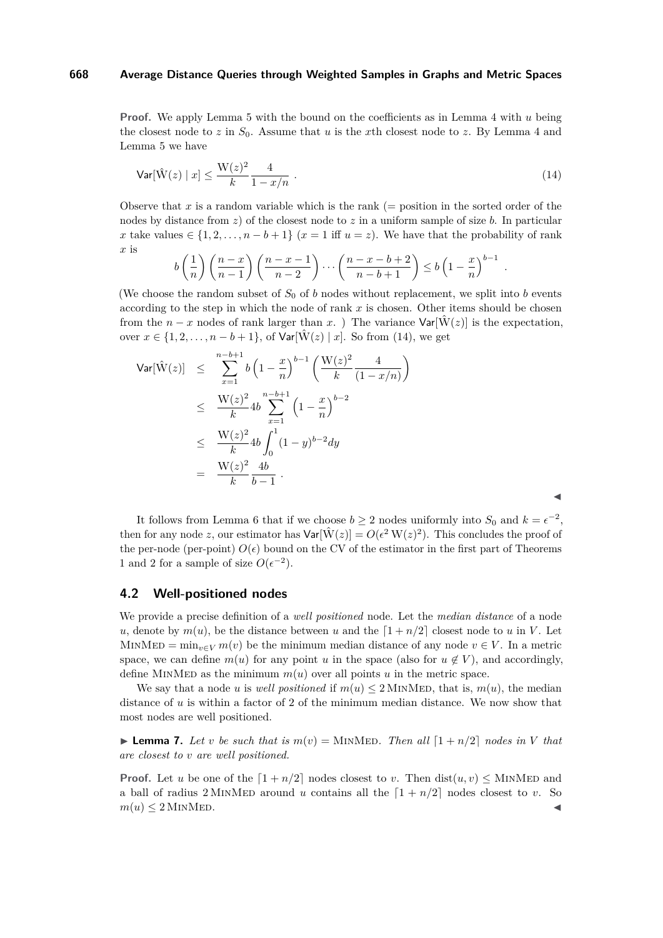**Proof.** We apply Lemma [5](#page-8-4) with the bound on the coefficients as in Lemma [4](#page-7-5) with *u* being the closest node to  $z$  in  $S_0$ . Assume that  $u$  is the  $x$ th closest node to  $z$ . By Lemma [4](#page-7-5) and Lemma [5](#page-8-4) we have

<span id="page-9-1"></span>
$$
\text{Var}[\hat{W}(z) \mid x] \le \frac{W(z)^2}{k} \frac{4}{1 - x/n} \tag{14}
$$

Observe that x is a random variable which is the rank  $(=$  position in the sorted order of the nodes by distance from *z*) of the closest node to *z* in a uniform sample of size *b*. In particular *x* take values  $\in \{1, 2, \ldots, n - b + 1\}$  (*x* = 1 iff *u* = *z*). We have that the probability of rank *x* is

$$
b\left(\frac{1}{n}\right)\left(\frac{n-x}{n-1}\right)\left(\frac{n-x-1}{n-2}\right)\cdots\left(\frac{n-x-b+2}{n-b+1}\right)\le b\left(1-\frac{x}{n}\right)^{b-1}
$$

*.*

 $\blacktriangleleft$ 

(We choose the random subset of  $S_0$  of *b* nodes without replacement, we split into *b* events according to the step in which the node of rank *x* is chosen. Other items should be chosen from the *n* − *x* nodes of rank larger than *x*. ) The variance  $Var[\hat{W}(z)]$  is the expectation, over  $x \in \{1, 2, ..., n - b + 1\}$ , of  $Var[\hat{W}(z) | x]$ . So from [\(14\)](#page-9-1), we get

$$
\begin{array}{rcl}\n\text{Var}[\hat{W}(z)] & \leq & \sum_{x=1}^{n-b+1} b \left( 1 - \frac{x}{n} \right)^{b-1} \left( \frac{W(z)^2}{k} \frac{4}{(1 - x/n)} \right) \\
& \leq & \frac{W(z)^2}{k} 4b \sum_{x=1}^{n-b+1} \left( 1 - \frac{x}{n} \right)^{b-2} \\
& \leq & \frac{W(z)^2}{k} 4b \int_0^1 (1 - y)^{b-2} dy \\
& = & \frac{W(z)^2}{k} \frac{4b}{b-1} \, .\n\end{array}
$$

It follows from Lemma [6](#page-8-5) that if we choose  $b \ge 2$  nodes uniformly into  $S_0$  and  $k = \epsilon^{-2}$ , then for any node *z*, our estimator has  $Var[\hat{W}(z)] = O(\epsilon^2 W(z)^2)$ . This concludes the proof of the per-node (per-point)  $O(\epsilon)$  bound on the CV of the estimator in the first part of Theorems [1](#page-4-0) and [2](#page-4-1) for a sample of size  $O(\epsilon^{-2})$ .

## <span id="page-9-0"></span>**4.2 Well-positioned nodes**

We provide a precise definition of a *well positioned* node. Let the *median distance* of a node *u*, denote by  $m(u)$ , be the distance between *u* and the  $\left[1 + n/2\right]$  closest node to *u* in *V*. Let MINMED =  $\min_{v \in V} m(v)$  be the minimum median distance of any node  $v \in V$ . In a metric space, we can define  $m(u)$  for any point *u* in the space (also for  $u \notin V$ ), and accordingly, define MINMED as the minimum  $m(u)$  over all points  $u$  in the metric space.

We say that a node *u* is *well positioned* if  $m(u) \le 2$  MINMED, that is,  $m(u)$ , the median distance of *u* is within a factor of 2 of the minimum median distance. We now show that most nodes are well positioned.

<span id="page-9-2"></span>**Example 7.** Let *v* be such that is  $m(v) =$ MINMED. Then all  $\begin{bmatrix} 1 + n/2 \end{bmatrix}$  nodes in V that *are closest to v are well positioned.*

**Proof.** Let *u* be one of the  $\left[1 + n/2\right]$  nodes closest to *v*. Then dist $(u, v)$  < MINMED and a ball of radius 2 MINMED around *u* contains all the  $\left[1 + n/2\right]$  nodes closest to *v*. So  $m(u) \leq 2$  MINMED.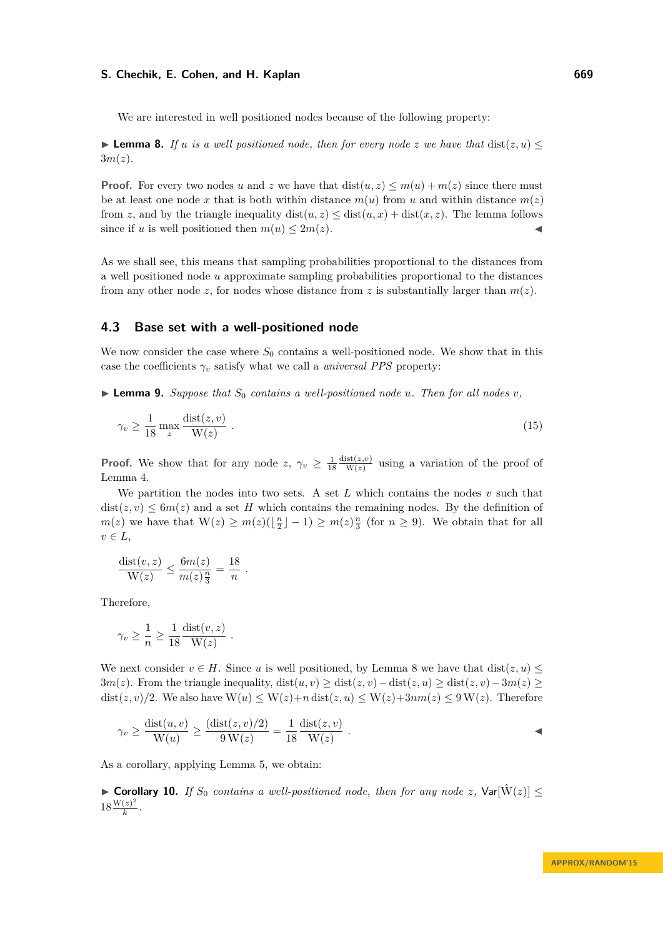We are interested in well positioned nodes because of the following property:

<span id="page-10-1"></span>**Lemma 8.** *If u is a well positioned node, then for every node <i>z we have that* dist(*z, u*)  $\leq$  $3m(z)$ .

**Proof.** For every two nodes *u* and *z* we have that  $dist(u, z) \le m(u) + m(z)$  since there must be at least one node x that is both within distance  $m(u)$  from u and within distance  $m(z)$ from *z*, and by the triangle inequality  $dist(u, z) \leq dist(u, x) + dist(x, z)$ . The lemma follows since if *u* is well positioned then  $m(u) \leq 2m(z)$ .

As we shall see, this means that sampling probabilities proportional to the distances from a well positioned node *u* approximate sampling probabilities proportional to the distances from any other node *z*, for nodes whose distance from *z* is substantially larger than  $m(z)$ .

## <span id="page-10-0"></span>**4.3 Base set with a well-positioned node**

We now consider the case where  $S_0$  contains a well-positioned node. We show that in this case the coefficients  $\gamma_v$  satisfy what we call a *universal PPS* property:

<span id="page-10-2"></span>**Example 9.** Suppose that  $S_0$  contains a well-positioned node *u*. Then for all nodes *v*,

<span id="page-10-3"></span>
$$
\gamma_v \ge \frac{1}{18} \max_z \frac{\text{dist}(z, v)}{\text{W}(z)} \tag{15}
$$

**Proof.** We show that for any node  $z, \gamma_v \geq \frac{1}{18}$  $\frac{\text{dist}(z,v)}{\text{W}(z)}$  using a variation of the proof of Lemma [4.](#page-7-5)

We partition the nodes into two sets. A set *L* which contains the nodes *v* such that  $dist(z, v) \leq 6m(z)$  and a set *H* which contains the remaining nodes. By the definition of  $m(z)$  we have that  $W(z) \geq m(z)(\lfloor \frac{n}{2} \rfloor - 1) \geq m(z) \frac{n}{3}$  (for  $n \geq 9$ ). We obtain that for all  $v \in L$ ,

$$
\frac{\text{dist}(v,z)}{\text{W}(z)} \le \frac{6m(z)}{m(z)\frac{n}{3}} = \frac{18}{n} .
$$

Therefore,

$$
\gamma_v \ge \frac{1}{n} \ge \frac{1}{18} \frac{\text{dist}(v, z)}{W(z)}.
$$

We next consider  $v \in H$ . Since *u* is well positioned, by Lemma [8](#page-10-1) we have that dist $(z, u)$  < 3*m*(*z*). From the triangle inequality, dist(*u, v*) ≥ dist(*z, v*) − dist(*z, u*) ≥ dist(*z, v*) − 3*m*(*z*) ≥ dist(*z*, *v*)/2. We also have  $W(u) \leq W(z) + n \text{ dist}(z, u) \leq W(z) + 3nm(z) \leq 9 W(z)$ . Therefore

$$
\gamma_v \ge \frac{\text{dist}(u, v)}{\text{W}(u)} \ge \frac{(\text{dist}(z, v)/2)}{9 \text{ W}(z)} = \frac{1}{18} \frac{\text{dist}(z, v)}{\text{W}(z)}.
$$

As a corollary, applying Lemma [5,](#page-8-4) we obtain:

▶ Corollary 10. *If*  $S_0$  *contains a well-positioned node, then for any node z,*  $Var[\hat{W}(z)]$  ≤  $18\frac{W(z)^2}{k}$  $\frac{(z)}{k}$ .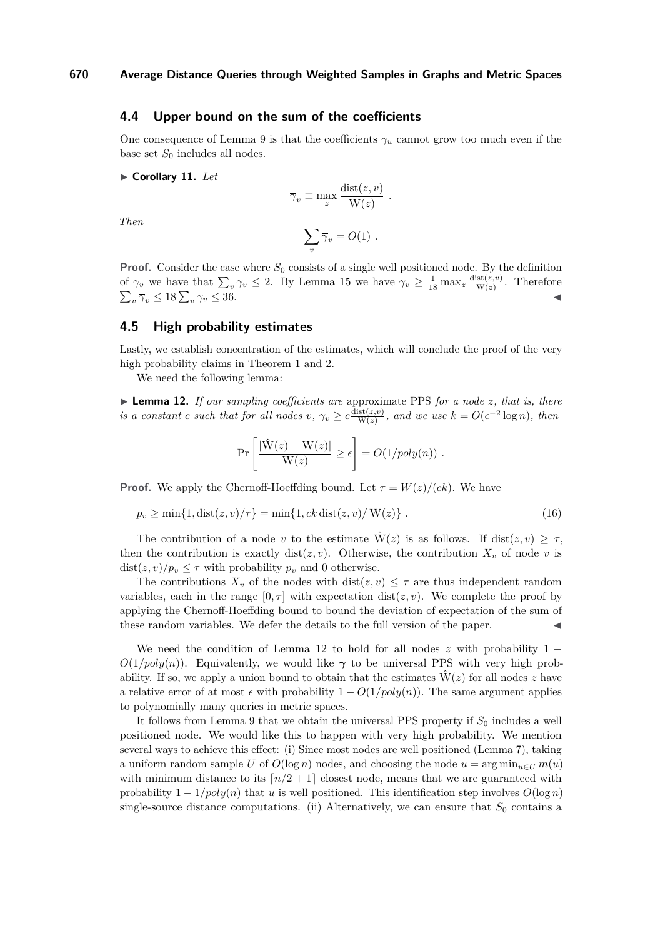## <span id="page-11-1"></span>**4.4 Upper bound on the sum of the coefficients**

One consequence of Lemma [9](#page-10-2) is that the coefficients  $\gamma_u$  cannot grow too much even if the base set  $S_0$  includes all nodes.

 $\blacktriangleright$  **Corollary 11.** Let

$$
\overline{\gamma}_v \equiv \max_z \frac{\text{dist}(z, v)}{\text{W}(z)}.
$$

*Then*

$$
\sum_{v} \overline{\gamma}_{v} = O(1) \ .
$$

**Proof.** Consider the case where  $S_0$  consists of a single well positioned node. By the definition of  $\gamma_v$  we have that  $\sum_v \gamma_v \leq 2$ . By Lemma [15](#page-10-3) we have  $\gamma_v \geq \frac{1}{18} \max_z \frac{\text{dist}(z,v)}{\text{W}(z)}$ . Therefore  $\sum_{v} \overline{\gamma}_v \leq 18 \sum_{v}$  $\gamma_v \leq 36.$ 

#### <span id="page-11-0"></span>**4.5 High probability estimates**

Lastly, we establish concentration of the estimates, which will conclude the proof of the very high probability claims in Theorem [1](#page-4-0) and [2.](#page-4-1)

We need the following lemma:

<span id="page-11-2"></span>I **Lemma 12.** *If our sampling coefficients are* approximate PPS *for a node z, that is, there is a constant c such that for all nodes*  $v, \gamma_v \geq c \frac{\text{dist}(z,v)}{\text{W}(z)}$ , and we use  $k = O(\epsilon^{-2} \log n)$ , then

$$
\Pr\left[\frac{|\hat{W}(z) - W(z)|}{W(z)} \ge \epsilon\right] = O(1/poly(n)) \ .
$$

**Proof.** We apply the Chernoff-Hoeffding bound. Let  $\tau = W(z)/(ck)$ . We have

$$
p_v \ge \min\{1, \text{dist}(z, v)/\tau\} = \min\{1, ck \text{ dist}(z, v)/\text{ W}(z)\} .
$$
 (16)

The contribution of a node *v* to the estimate  $\hat{W}(z)$  is as follows. If dist $(z, v) \geq \tau$ , then the contribution is exactly dist $(z, v)$ . Otherwise, the contribution  $X_v$  of node v is  $dist(z, v)/p_v \leq \tau$  with probability  $p_v$  and 0 otherwise.

The contributions  $X_v$  of the nodes with  $dist(z, v) \leq \tau$  are thus independent random variables, each in the range  $[0, \tau]$  with expectation dist $(z, v)$ . We complete the proof by applying the Chernoff-Hoeffding bound to bound the deviation of expectation of the sum of these random variables. We defer the details to the full version of the paper.

We need the condition of Lemma [12](#page-11-2) to hold for all nodes  $z$  with probability 1 −  $O(1/poly(n))$ . Equivalently, we would like  $\gamma$  to be universal PPS with very high probability. If so, we apply a union bound to obtain that the estimates  $W(z)$  for all nodes z have a relative error of at most  $\epsilon$  with probability  $1 - O(1/poly(n))$ . The same argument applies to polynomially many queries in metric spaces.

It follows from Lemma [9](#page-10-2) that we obtain the universal PPS property if  $S_0$  includes a well positioned node. We would like this to happen with very high probability. We mention several ways to achieve this effect: (i) Since most nodes are well positioned (Lemma [7\)](#page-9-2), taking a uniform random sample *U* of  $O(\log n)$  nodes, and choosing the node  $u = \arg \min_{u \in U} m(u)$ with minimum distance to its  $n/2 + 1$  closest node, means that we are guaranteed with probability  $1 - 1/poly(n)$  that *u* is well positioned. This identification step involves  $O(\log n)$ single-source distance computations. (ii) Alternatively, we can ensure that  $S_0$  contains a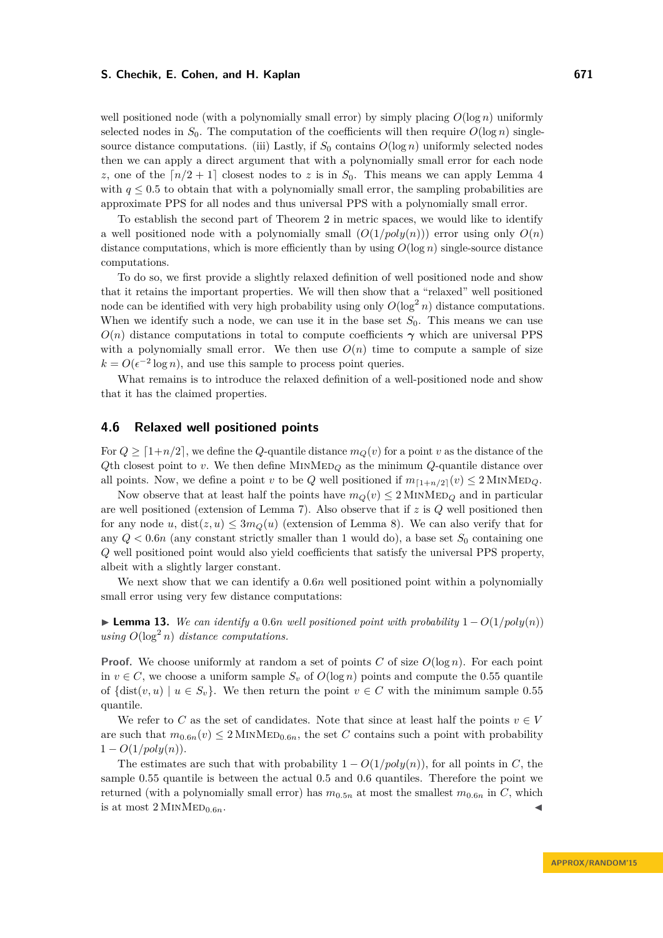well positioned node (with a polynomially small error) by simply placing  $O(\log n)$  uniformly selected nodes in  $S_0$ . The computation of the coefficients will then require  $O(\log n)$  singlesource distance computations. (iii) Lastly, if  $S_0$  contains  $O(\log n)$  uniformly selected nodes then we can apply a direct argument that with a polynomially small error for each node *z*, one of the  $\lceil n/2 + 1 \rceil$  closest nodes to *z* is in *S*<sub>0</sub>. This means we can apply Lemma [4](#page-7-5) with  $q \leq 0.5$  to obtain that with a polynomially small error, the sampling probabilities are approximate PPS for all nodes and thus universal PPS with a polynomially small error.

To establish the second part of Theorem [2](#page-4-1) in metric spaces, we would like to identify a well positioned node with a polynomially small  $(O(1/poly(n)))$  error using only  $O(n)$ distance computations, which is more efficiently than by using  $O(\log n)$  single-source distance computations.

To do so, we first provide a slightly relaxed definition of well positioned node and show that it retains the important properties. We will then show that a "relaxed" well positioned node can be identified with very high probability using only  $O(\log^2 n)$  distance computations. When we identify such a node, we can use it in the base set  $S_0$ . This means we can use  $O(n)$  distance computations in total to compute coefficients  $\gamma$  which are universal PPS with a polynomially small error. We then use  $O(n)$  time to compute a sample of size  $k = O(\epsilon^{-2} \log n)$ , and use this sample to process point queries.

What remains is to introduce the relaxed definition of a well-positioned node and show that it has the claimed properties.

#### <span id="page-12-0"></span>**4.6 Relaxed well positioned points**

For  $Q \geq [1+n/2]$ , we define the *Q*-quantile distance  $m_Q(v)$  for a point *v* as the distance of the  $Q$ th closest point to *v*. We then define MINMED<sub>*Q*</sub> as the minimum  $Q$ -quantile distance over all points. Now, we define a point *v* to be *Q* well positioned if  $m_{[1+n/2]}(v) \le 2$  MINMED<sub>*Q*</sub>.

Now observe that at least half the points have  $m_Q(v) \leq 2$  MINMED<sub>Q</sub> and in particular are well positioned (extension of Lemma [7\)](#page-9-2). Also observe that if *z* is *Q* well positioned then for any node *u*,  $dist(z, u) \leq 3m_Q(u)$  (extension of Lemma [8\)](#page-10-1). We can also verify that for any  $Q < 0.6n$  (any constant strictly smaller than 1 would do), a base set  $S_0$  containing one *Q* well positioned point would also yield coefficients that satisfy the universal PPS property, albeit with a slightly larger constant.

We next show that we can identify a  $0.6n$  well positioned point within a polynomially small error using very few distance computations:

<span id="page-12-1"></span>► **Lemma 13.** We can identify a 0.6*n* well positioned point with probability  $1 - O(1/poly(n))$ *using*  $O(\log^2 n)$  *distance computations.* 

**Proof.** We choose uniformly at random a set of points *C* of size *O*(log *n*). For each point in  $v \in C$ , we choose a uniform sample  $S_v$  of  $O(\log n)$  points and compute the 0.55 quantile of  $\{dist(v, u) \mid u \in S_v\}$ . We then return the point  $v \in C$  with the minimum sample 0.55 quantile.

We refer to *C* as the set of candidates. Note that since at least half the points  $v \in V$ are such that  $m_{0.6n}(v) \leq 2$  MINMED<sub>0.6</sub>*n*, the set *C* contains such a point with probability  $1 - O(1/poly(n)).$ 

The estimates are such that with probability  $1 - O(1/poly(n))$ , for all points in *C*, the sample 0*.*55 quantile is between the actual 0*.*5 and 0*.*6 quantiles. Therefore the point we returned (with a polynomially small error) has  $m_{0.5n}$  at most the smallest  $m_{0.6n}$  in *C*, which is at most  $2$  MINMED<sub>0.6*n*</sub>.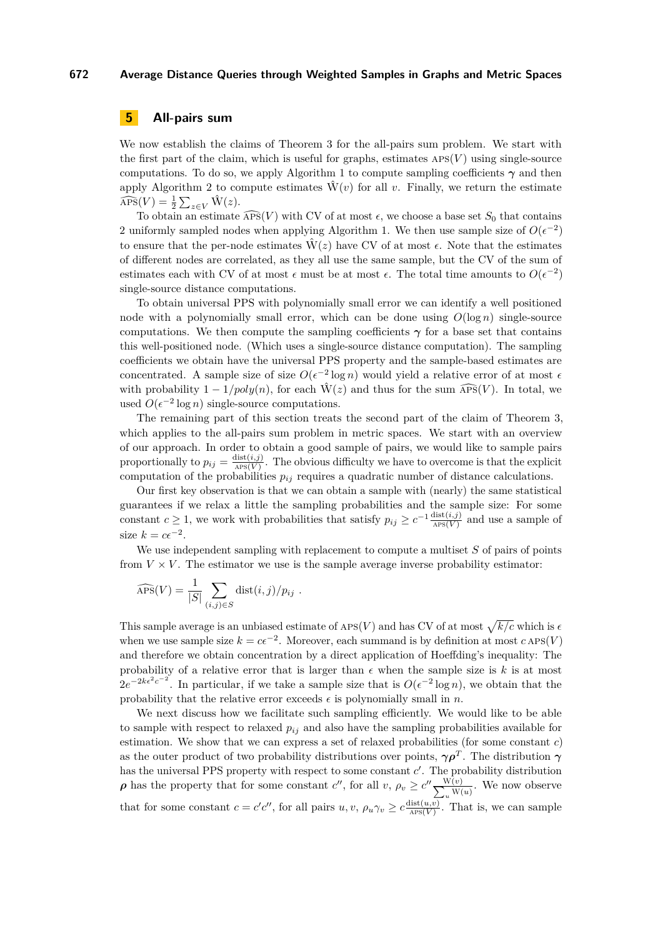# <span id="page-13-0"></span>**5 All-pairs sum**

We now establish the claims of Theorem [3](#page-4-2) for the all-pairs sum problem. We start with the first part of the claim, which is useful for graphs, estimates  $\text{APS}(V)$  using single-source computations. To do so, we apply Algorithm [1](#page-6-1) to compute sampling coefficients  $\gamma$  and then apply Algorithm [2](#page-7-1) to compute estimates  $\hat{W}(v)$  for all *v*. Finally, we return the estimate  $\widehat{\text{APS}}(V) = \frac{1}{2} \sum_{z \in V} \hat{W}(z).$ 

To obtain an estimate  $\widehat{APS}(V)$  with CV of at most  $\epsilon$ , we choose a base set  $S_0$  that contains 2 uniformly sampled nodes when applying Algorithm [1.](#page-6-1) We then use sample size of  $O(\epsilon^{-2})$ to ensure that the per-node estimates  $\hat{W}(z)$  have CV of at most  $\epsilon$ . Note that the estimates of different nodes are correlated, as they all use the same sample, but the CV of the sum of estimates each with CV of at most  $\epsilon$  must be at most  $\epsilon$ . The total time amounts to  $O(\epsilon^{-2})$ single-source distance computations.

To obtain universal PPS with polynomially small error we can identify a well positioned node with a polynomially small error, which can be done using  $O(\log n)$  single-source computations. We then compute the sampling coefficients  $\gamma$  for a base set that contains this well-positioned node. (Which uses a single-source distance computation). The sampling coefficients we obtain have the universal PPS property and the sample-based estimates are concentrated. A sample size of size  $O(\epsilon^{-2} \log n)$  would yield a relative error of at most  $\epsilon$ with probability  $1 - 1/poly(n)$ , for each  $\hat{W}(z)$  and thus for the sum  $\widehat{APS}(V)$ . In total, we used  $O(\epsilon^{-2} \log n)$  single-source computations.

The remaining part of this section treats the second part of the claim of Theorem [3,](#page-4-2) which applies to the all-pairs sum problem in metric spaces. We start with an overview of our approach. In order to obtain a good sample of pairs, we would like to sample pairs proportionally to  $p_{ij} = \frac{\text{dist}(i,j)}{\text{APS}(V)}$ . The obvious difficulty we have to overcome is that the explicit computation of the probabilities  $p_{ij}$  requires a quadratic number of distance calculations.

Our first key observation is that we can obtain a sample with (nearly) the same statistical guarantees if we relax a little the sampling probabilities and the sample size: For some constant *c*  $\geq$  1, we work with probabilities that satisfy  $p_{ij} \geq c^{-1} \frac{\text{dist}(i,j)}{\text{APS}(V)}$  and use a sample of size  $k = c\epsilon^{-2}$ .

We use independent sampling with replacement to compute a multiset *S* of pairs of points from  $V \times V$ . The estimator we use is the sample average inverse probability estimator:

$$
\widehat{\rm APS}(V) = \frac{1}{|S|} \sum_{(i,j) \in S} \text{dist}(i,j)/p_{ij} .
$$

This sample average is an unbiased estimate of  $\text{APS}(V)$  and has CV of at most  $\sqrt{k/c}$  which is  $\epsilon$ when we use sample size  $k = c\epsilon^{-2}$ . Moreover, each summand is by definition at most  $c \text{APS}(V)$ and therefore we obtain concentration by a direct application of Hoeffding's inequality: The probability of a relative error that is larger than  $\epsilon$  when the sample size is  $k$  is at most  $2e^{-2k\epsilon^2c^{-2}}$ . In particular, if we take a sample size that is  $O(\epsilon^{-2}\log n)$ , we obtain that the probability that the relative error exceeds  $\epsilon$  is polynomially small in *n*.

We next discuss how we facilitate such sampling efficiently. We would like to be able to sample with respect to relaxed  $p_{ij}$  and also have the sampling probabilities available for estimation. We show that we can express a set of relaxed probabilities (for some constant *c*) as the outer product of two probability distributions over points,  $\gamma \rho^T$ . The distribution  $\gamma$ has the universal PPS property with respect to some constant  $c'$ . The probability distribution *<i><i>ρ* has the property that for some constant *c*'', for all *v*,  $\rho_v \ge c'' \frac{W(v)}{\sum_{v} W(v)}$  $\frac{w(v)}{w(u)}$ . We now observe that for some constant  $c = c'c''$ , for all pairs  $u, v, \rho_u \gamma_v \geq c \frac{\text{dist}(u,v)}{\text{APS}(V)}$ . That is, we can sample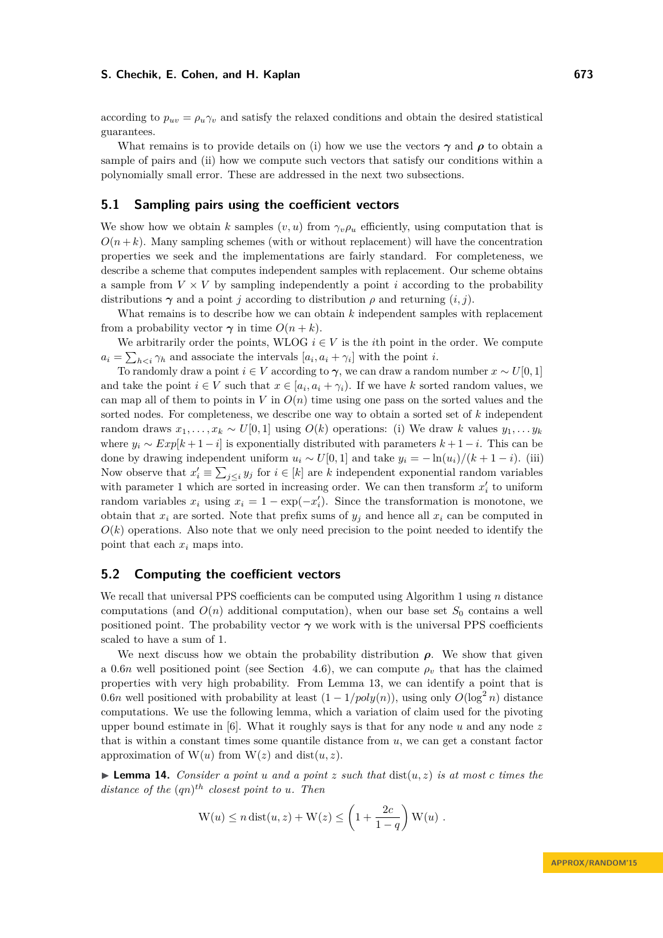according to  $p_{uv} = \rho_u \gamma_v$  and satisfy the relaxed conditions and obtain the desired statistical guarantees.

What remains is to provide details on (i) how we use the vectors  $\gamma$  and  $\rho$  to obtain a sample of pairs and (ii) how we compute such vectors that satisfy our conditions within a polynomially small error. These are addressed in the next two subsections.

## **5.1 Sampling pairs using the coefficient vectors**

We show how we obtain *k* samples  $(v, u)$  from  $\gamma_v \rho_u$  efficiently, using computation that is  $O(n+k)$ . Many sampling schemes (with or without replacement) will have the concentration properties we seek and the implementations are fairly standard. For completeness, we describe a scheme that computes independent samples with replacement. Our scheme obtains a sample from  $V \times V$  by sampling independently a point *i* according to the probability distributions  $\gamma$  and a point *j* according to distribution  $\rho$  and returning  $(i, j)$ .

What remains is to describe how we can obtain *k* independent samples with replacement from a probability vector  $\gamma$  in time  $O(n+k)$ .

We arbitrarily order the points, WLOG  $i \in V$  is the *i*th point in the order. We compute  $a_i = \sum_{h \lt i} \gamma_h$  and associate the intervals  $[a_i, a_i + \gamma_i]$  with the point *i*.

To randomly draw a point  $i \in V$  according to  $\gamma$ , we can draw a random number  $x \sim U[0,1]$ and take the point  $i \in V$  such that  $x \in [a_i, a_i + \gamma_i)$ . If we have k sorted random values, we can map all of them to points in  $V$  in  $O(n)$  time using one pass on the sorted values and the sorted nodes. For completeness, we describe one way to obtain a sorted set of *k* independent random draws  $x_1, \ldots, x_k \sim U[0, 1]$  using  $O(k)$  operations: (i) We draw *k* values  $y_1, \ldots, y_k$ where  $y_i \sim Exp[k+1-i]$  is exponentially distributed with parameters  $k+1-i$ . This can be done by drawing independent uniform  $u_i \sim U[0, 1]$  and take  $y_i = -\ln(u_i)/(k+1-i)$ . (iii) Now observe that  $x'_i \equiv \sum_{j \leq i} y_j$  for  $i \in [k]$  are *k* independent exponential random variables with parameter 1 which are sorted in increasing order. We can then transform  $x_i'$  to uniform random variables  $x_i$  using  $x_i = 1 - \exp(-x_i')$ . Since the transformation is monotone, we obtain that  $x_i$  are sorted. Note that prefix sums of  $y_j$  and hence all  $x_i$  can be computed in  $O(k)$  operations. Also note that we only need precision to the point needed to identify the point that each *x<sup>i</sup>* maps into.

## **5.2 Computing the coefficient vectors**

We recall that universal PPS coefficients can be computed using Algorithm [1](#page-6-1) using *n* distance computations (and  $O(n)$  additional computation), when our base set  $S_0$  contains a well positioned point. The probability vector  $\gamma$  we work with is the universal PPS coefficients scaled to have a sum of 1.

We next discuss how we obtain the probability distribution  $\rho$ . We show that given a 0.6*n* well positioned point (see Section [4.6\)](#page-12-0), we can compute  $\rho$ <sup>*v*</sup> that has the claimed properties with very high probability. From Lemma [13,](#page-12-1) we can identify a point that is 0.6*n* well positioned with probability at least  $(1 - 1/poly(n))$ , using only  $O(log<sup>2</sup> n)$  distance computations. We use the following lemma, which a variation of claim used for the pivoting upper bound estimate in [\[6\]](#page-19-7). What it roughly says is that for any node *u* and any node *z* that is within a constant times some quantile distance from  $u$ , we can get a constant factor approximation of  $W(u)$  from  $W(z)$  and dist $(u, z)$ .

 $\triangleright$  **Lemma 14.** *Consider a point u and a point z such that* dist $(u, z)$  *is at most c times the distance of the*  $(qn)^{th}$  *closest point to u. Then* 

$$
W(u) \le n \operatorname{dist}(u, z) + W(z) \le \left(1 + \frac{2c}{1 - q}\right) W(u) .
$$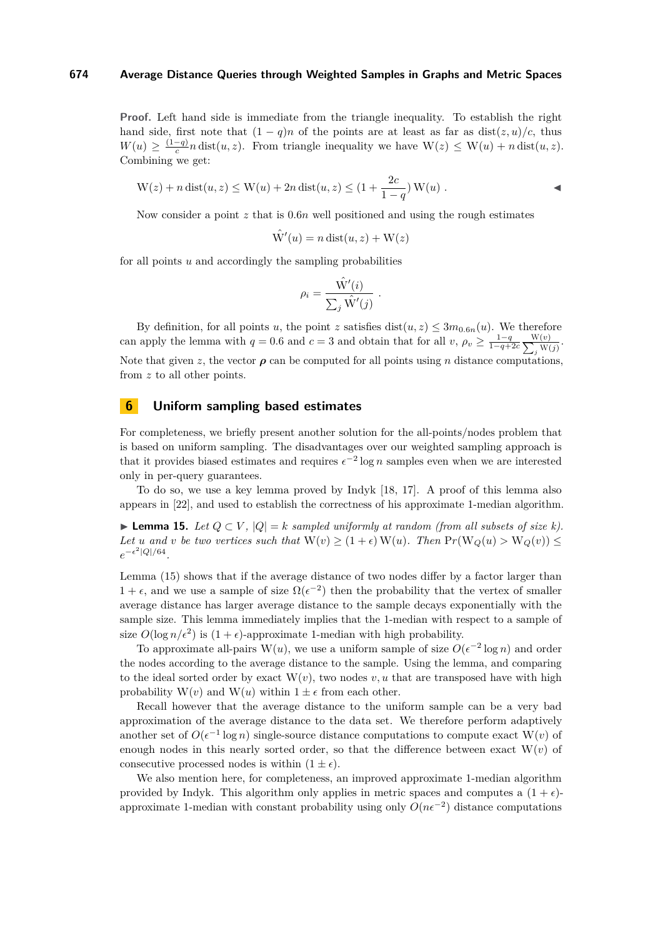**Proof.** Left hand side is immediate from the triangle inequality. To establish the right hand side, first note that  $(1 - q)n$  of the points are at least as far as dist $(z, u)/c$ , thus  $W(u) \geq \frac{(1-q)}{c}$  $\frac{-q}{c}n \text{ dist}(u, z)$ . From triangle inequality we have  $\mathcal{W}(z) \leq \mathcal{W}(u) + n \text{ dist}(u, z)$ . Combining we get:

$$
W(z) + n \operatorname{dist}(u, z) \le W(u) + 2n \operatorname{dist}(u, z) \le (1 + \frac{2c}{1 - q}) W(u) .
$$

Now consider a point *z* that is 0*.*6*n* well positioned and using the rough estimates

$$
\hat{\mathrm{W}}'(u) = n \operatorname{dist}(u, z) + \mathrm{W}(z)
$$

for all points *u* and accordingly the sampling probabilities

$$
\rho_i = \frac{\hat{W}'(i)}{\sum_j \hat{W}'(j)}.
$$

By definition, for all points *u*, the point *z* satisfies dist $(u, z) \leq 3m_{0.6n}(u)$ . We therefore can apply the lemma with  $q = 0.6$  and  $c = 3$  and obtain that for all  $v, \rho_v \geq \frac{1-q}{1-q+2c} \sum_{n=1}^{\infty}$ W(*v*)  $\frac{w(v)}{y}$ . Note that given *z*, the vector  $\rho$  can be computed for all points using *n* distance computations, from z to all other points.

## <span id="page-15-0"></span>**6 Uniform sampling based estimates**

For completeness, we briefly present another solution for the all-points/nodes problem that is based on uniform sampling. The disadvantages over our weighted sampling approach is that it provides biased estimates and requires  $\epsilon^{-2} \log n$  samples even when we are interested only in per-query guarantees.

To do so, we use a key lemma proved by Indyk [\[18,](#page-20-4) [17\]](#page-19-10). A proof of this lemma also appears in [\[22\]](#page-20-6), and used to establish the correctness of his approximate 1-median algorithm.

<span id="page-15-1"></span>**► Lemma 15.** Let  $Q \subset V$ ,  $|Q| = k$  sampled uniformly at random (from all subsets of size k). *Let u* and *v be two vertices such that*  $W(v) \ge (1 + \epsilon) W(u)$ *. Then*  $Pr(W_Q(u) > W_Q(v)) \le$  $e^{-\epsilon^2|Q|/64}$ .

Lemma [\(15\)](#page-15-1) shows that if the average distance of two nodes differ by a factor larger than  $1 + \epsilon$ , and we use a sample of size  $\Omega(\epsilon^{-2})$  then the probability that the vertex of smaller average distance has larger average distance to the sample decays exponentially with the sample size. This lemma immediately implies that the 1-median with respect to a sample of size  $O(\log n/\epsilon^2)$  is  $(1+\epsilon)$ -approximate 1-median with high probability.

To approximate all-pairs W(*u*), we use a uniform sample of size  $O(\epsilon^{-2} \log n)$  and order the nodes according to the average distance to the sample. Using the lemma, and comparing to the ideal sorted order by exact  $W(v)$ , two nodes  $v, u$  that are transposed have with high probability  $W(v)$  and  $W(u)$  within  $1 \pm \epsilon$  from each other.

Recall however that the average distance to the uniform sample can be a very bad approximation of the average distance to the data set. We therefore perform adaptively another set of  $O(\epsilon^{-1} \log n)$  single-source distance computations to compute exact W(*v*) of enough nodes in this nearly sorted order, so that the difference between exact  $W(v)$  of consecutive processed nodes is within  $(1 \pm \epsilon)$ .

We also mention here, for completeness, an improved approximate 1-median algorithm provided by Indyk. This algorithm only applies in metric spaces and computes a  $(1 + \epsilon)$ approximate 1-median with constant probability using only  $O(n\epsilon^{-2})$  distance computations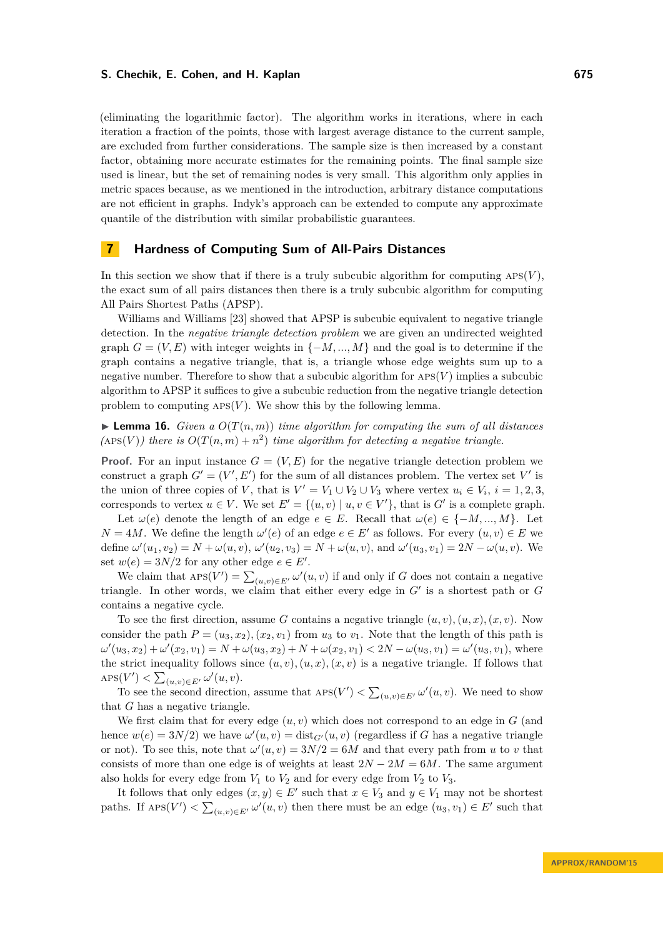(eliminating the logarithmic factor). The algorithm works in iterations, where in each iteration a fraction of the points, those with largest average distance to the current sample, are excluded from further considerations. The sample size is then increased by a constant factor, obtaining more accurate estimates for the remaining points. The final sample size used is linear, but the set of remaining nodes is very small. This algorithm only applies in metric spaces because, as we mentioned in the introduction, arbitrary distance computations are not efficient in graphs. Indyk's approach can be extended to compute any approximate quantile of the distribution with similar probabilistic guarantees.

## <span id="page-16-0"></span>**7 Hardness of Computing Sum of All-Pairs Distances**

In this section we show that if there is a truly subcubic algorithm for computing  $APS(V)$ , the exact sum of all pairs distances then there is a truly subcubic algorithm for computing All Pairs Shortest Paths (APSP).

Williams and Williams [\[23\]](#page-20-3) showed that APSP is subcubic equivalent to negative triangle detection. In the *negative triangle detection problem* we are given an undirected weighted graph  $G = (V, E)$  with integer weights in  $\{-M, ..., M\}$  and the goal is to determine if the graph contains a negative triangle, that is, a triangle whose edge weights sum up to a negative number. Therefore to show that a subcubic algorithm for aps(*V* ) implies a subcubic algorithm to APSP it suffices to give a subcubic reduction from the negative triangle detection problem to computing  $APS(V)$ . We show this by the following lemma.

**Lemma 16.** *Given a*  $O(T(n,m))$  *time algorithm for computing the sum of all distances*  $($ APS $(V)$ ) *there is*  $O(T(n,m) + n^2)$  *time algorithm for detecting a negative triangle.* 

**Proof.** For an input instance  $G = (V, E)$  for the negative triangle detection problem we construct a graph  $G' = (V', E')$  for the sum of all distances problem. The vertex set V' is the union of three copies of *V*, that is  $V' = V_1 \cup V_2 \cup V_3$  where vertex  $u_i \in V_i$ ,  $i = 1, 2, 3$ , corresponds to vertex  $u \in V$ . We set  $E' = \{(u, v) \mid u, v \in V'\}$ , that is  $G'$  is a complete graph.

Let  $\omega(e)$  denote the length of an edge  $e \in E$ . Recall that  $\omega(e) \in \{-M, ..., M\}$ . Let  $N = 4M$ . We define the length  $\omega'(e)$  of an edge  $e \in E'$  as follows. For every  $(u, v) \in E$  we define  $\omega'(u_1, v_2) = N + \omega(u, v), \omega'(u_2, v_3) = N + \omega(u, v),$  and  $\omega'(u_3, v_1) = 2N - \omega(u, v)$ . We set  $w(e) = 3N/2$  for any other edge  $e \in E'$ .

We claim that  $\text{APS}(V') = \sum_{(u,v)\in E'} \omega'(u, v)$  if and only if *G* does not contain a negative triangle. In other words, we claim that either every edge in  $G'$  is a shortest path or  $G$ contains a negative cycle.

To see the first direction, assume *G* contains a negative triangle  $(u, v)$ ,  $(u, x)$ ,  $(x, v)$ . Now consider the path  $P = (u_3, x_2), (x_2, v_1)$  from  $u_3$  to  $v_1$ . Note that the length of this path is  $\omega'(u_3, x_2) + \omega'(x_2, v_1) = N + \omega(u_3, x_2) + N + \omega(x_2, v_1) < 2N - \omega(u_3, v_1) = \omega'(u_3, v_1)$ , where the strict inequality follows since  $(u, v), (u, x), (x, v)$  is a negative triangle. If follows that  $\mathrm{APS}(V') < \sum_{(u,v)\in E'} \omega'(u, v).$ 

To see the second direction, assume that  $\mathrm{APS}(V') < \sum_{(u,v)\in E'} \omega'(u,v)$ . We need to show that *G* has a negative triangle.

We first claim that for every edge  $(u, v)$  which does not correspond to an edge in  $G$  (and hence  $w(e) = 3N/2$ ) we have  $\omega'(u, v) = \text{dist}_{G'}(u, v)$  (regardless if *G* has a negative triangle or not). To see this, note that  $\omega'(u, v) = 3N/2 = 6M$  and that every path from *u* to *v* that consists of more than one edge is of weights at least  $2N - 2M = 6M$ . The same argument also holds for every edge from  $V_1$  to  $V_2$  and for every edge from  $V_2$  to  $V_3$ .

It follows that only edges  $(x, y) \in E'$  such that  $x \in V_3$  and  $y \in V_1$  may not be shortest paths. If  $\text{APS}(V') < \sum_{(u,v) \in E'} \omega'(u, v)$  then there must be an edge  $(u_3, v_1) \in E'$  such that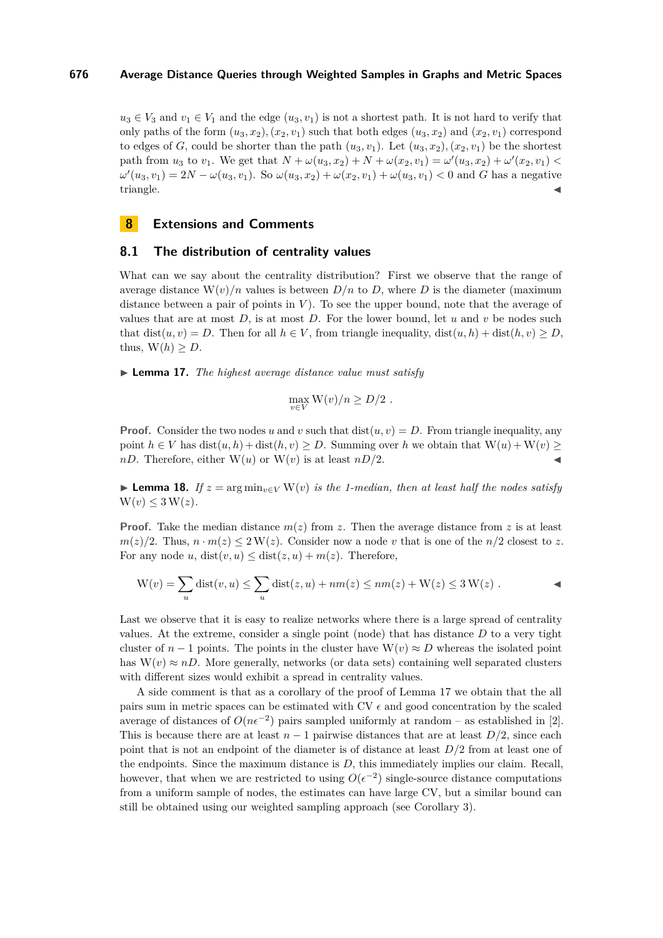$u_3 \in V_3$  and  $v_1 \in V_1$  and the edge  $(u_3, v_1)$  is not a shortest path. It is not hard to verify that only paths of the form  $(u_3, x_2)$ ,  $(x_2, v_1)$  such that both edges  $(u_3, x_2)$  and  $(x_2, v_1)$  correspond to edges of *G*, could be shorter than the path  $(u_3, v_1)$ . Let  $(u_3, x_2)$ ,  $(x_2, v_1)$  be the shortest path from  $u_3$  to  $v_1$ . We get that  $N + \omega(u_3, x_2) + N + \omega(x_2, v_1) = \omega'(u_3, x_2) + \omega'(x_2, v_1)$  $\omega'(u_3, v_1) = 2N - \omega(u_3, v_1)$ . So  $\omega(u_3, x_2) + \omega(x_2, v_1) + \omega(u_3, v_1) < 0$  and *G* has a negative triangle.

## **8 Extensions and Comments**

## **8.1 The distribution of centrality values**

What can we say about the centrality distribution? First we observe that the range of average distance  $W(v)/n$  values is between  $D/n$  to D, where D is the diameter (maximum distance between a pair of points in *V*). To see the upper bound, note that the average of values that are at most *D*, is at most *D*. For the lower bound, let *u* and *v* be nodes such that  $dist(u, v) = D$ . Then for all  $h \in V$ , from triangle inequality,  $dist(u, h) + dist(h, v) \ge D$ , thus,  $W(h) > D$ .

<span id="page-17-0"></span>I **Lemma 17.** *The highest average distance value must satisfy*

$$
\max_{v \in V} \mathcal{W}(v)/n \geq D/2.
$$

**Proof.** Consider the two nodes *u* and *v* such that dist $(u, v) = D$ . From triangle inequality, any point  $h \in V$  has  $dist(u, h) + dist(h, v) \ge D$ . Summing over *h* we obtain that  $W(u) + W(v) \ge D$ . *nD*. Therefore, either  $W(u)$  or  $W(v)$  is at least  $nD/2$ .

**► Lemma 18.** If  $z = \arg \min_{v \in V} W(v)$  is the 1-median, then at least half the nodes satisfy  $W(v) \leq 3 W(z)$ .

**Proof.** Take the median distance  $m(z)$  from z. Then the average distance from z is at least  $m(z)/2$ . Thus,  $n \cdot m(z) \leq 2 \cdot W(z)$ . Consider now a node *v* that is one of the *n/*2 closest to *z*. For any node *u*,  $dist(v, u) \leq dist(z, u) + m(z)$ . Therefore,

$$
W(v) = \sum_{u} \text{dist}(v, u) \le \sum_{u} \text{dist}(z, u) + nm(z) \le nm(z) + W(z) \le 3 W(z) .
$$

Last we observe that it is easy to realize networks where there is a large spread of centrality values. At the extreme, consider a single point (node) that has distance *D* to a very tight cluster of  $n-1$  points. The points in the cluster have  $W(v) \approx D$  whereas the isolated point has  $W(v) \approx nD$ . More generally, networks (or data sets) containing well separated clusters with different sizes would exhibit a spread in centrality values.

A side comment is that as a corollary of the proof of Lemma [17](#page-17-0) we obtain that the all pairs sum in metric spaces can be estimated with CV  $\epsilon$  and good concentration by the scaled average of distances of  $O(n\epsilon^{-2})$  pairs sampled uniformly at random – as established in [\[2\]](#page-19-12). This is because there are at least  $n-1$  pairwise distances that are at least  $D/2$ , since each point that is not an endpoint of the diameter is of distance at least *D/*2 from at least one of the endpoints. Since the maximum distance is *D*, this immediately implies our claim. Recall, however, that when we are restricted to using  $O(\epsilon^{-2})$  single-source distance computations from a uniform sample of nodes, the estimates can have large CV, but a similar bound can still be obtained using our weighted sampling approach (see Corollary [3\)](#page-4-2).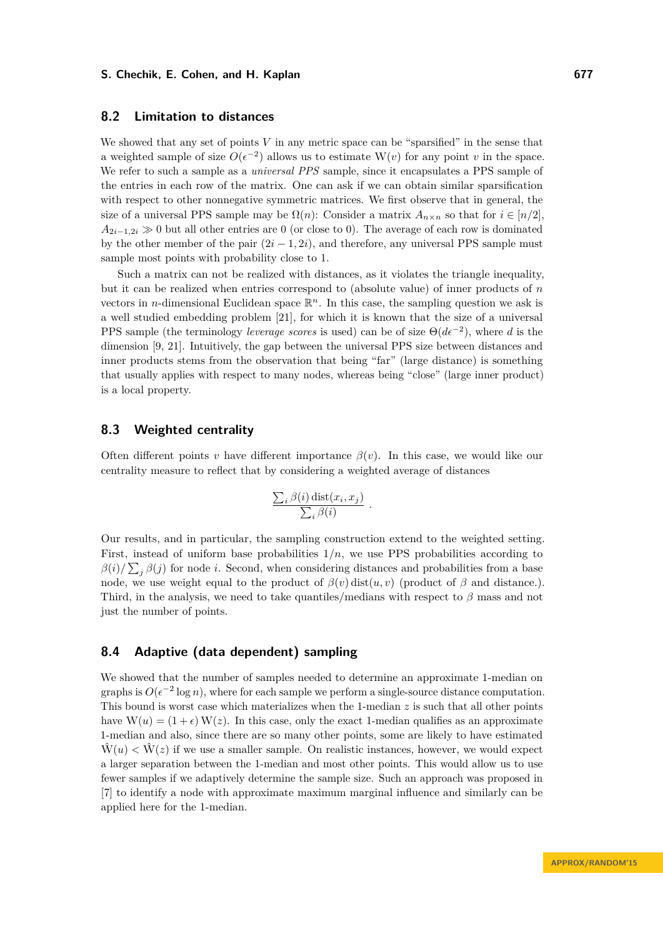## **8.2 Limitation to distances**

We showed that any set of points *V* in any metric space can be "sparsified" in the sense that a weighted sample of size  $O(\epsilon^{-2})$  allows us to estimate W(*v*) for any point *v* in the space. We refer to such a sample as a *universal PPS* sample, since it encapsulates a PPS sample of the entries in each row of the matrix. One can ask if we can obtain similar sparsification with respect to other nonnegative symmetric matrices. We first observe that in general, the size of a universal PPS sample may be  $\Omega(n)$ : Consider a matrix  $A_{n \times n}$  so that for  $i \in [n/2]$ .  $A_{2i-1,2i} \gg 0$  but all other entries are 0 (or close to 0). The average of each row is dominated by the other member of the pair  $(2i - 1, 2i)$ , and therefore, any universal PPS sample must sample most points with probability close to 1.

Such a matrix can not be realized with distances, as it violates the triangle inequality, but it can be realized when entries correspond to (absolute value) of inner products of *n* vectors in *n*-dimensional Euclidean space  $\mathbb{R}^n$ . In this case, the sampling question we ask is a well studied embedding problem [\[21\]](#page-20-7), for which it is known that the size of a universal PPS sample (the terminology *leverage scores* is used) can be of size  $\Theta(d\epsilon^{-2})$ , where *d* is the dimension [\[9,](#page-19-15) [21\]](#page-20-7). Intuitively, the gap between the universal PPS size between distances and inner products stems from the observation that being "far" (large distance) is something that usually applies with respect to many nodes, whereas being "close" (large inner product) is a local property.

## **8.3 Weighted centrality**

Often different points *v* have different importance  $\beta(v)$ . In this case, we would like our centrality measure to reflect that by considering a weighted average of distances

$$
\frac{\sum_{i} \beta(i) \, \text{dist}(x_i, x_j)}{\sum_{i} \beta(i)}
$$

*.*

Our results, and in particular, the sampling construction extend to the weighted setting. First, instead of uniform base probabilities  $1/n$ , we use PPS probabilities according to  $\beta(i)/\sum_j \beta(j)$  for node *i*. Second, when considering distances and probabilities from a base node, we use weight equal to the product of  $\beta(v)$  dist $(u, v)$  (product of  $\beta$  and distance.). Third, in the analysis, we need to take quantiles/medians with respect to *β* mass and not just the number of points.

# <span id="page-18-0"></span>**8.4 Adaptive (data dependent) sampling**

We showed that the number of samples needed to determine an approximate 1-median on graphs is  $O(\epsilon^{-2} \log n)$ , where for each sample we perform a single-source distance computation. This bound is worst case which materializes when the 1-median *z* is such that all other points have  $W(u) = (1 + \epsilon) W(z)$ . In this case, only the exact 1-median qualifies as an approximate 1-median and also, since there are so many other points, some are likely to have estimated  $\hat{W}(u) < \hat{W}(z)$  if we use a smaller sample. On realistic instances, however, we would expect a larger separation between the 1-median and most other points. This would allow us to use fewer samples if we adaptively determine the sample size. Such an approach was proposed in [\[7\]](#page-19-16) to identify a node with approximate maximum marginal influence and similarly can be applied here for the 1-median.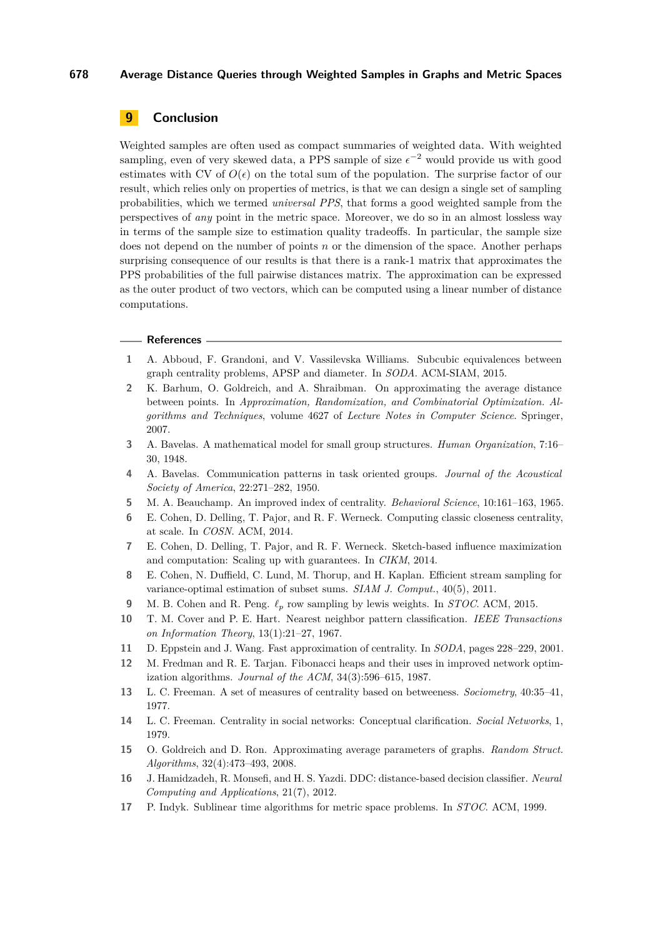# **9 Conclusion**

Weighted samples are often used as compact summaries of weighted data. With weighted sampling, even of very skewed data, a PPS sample of size  $\epsilon^{-2}$  would provide us with good estimates with CV of  $O(\epsilon)$  on the total sum of the population. The surprise factor of our result, which relies only on properties of metrics, is that we can design a single set of sampling probabilities, which we termed *universal PPS*, that forms a good weighted sample from the perspectives of *any* point in the metric space. Moreover, we do so in an almost lossless way in terms of the sample size to estimation quality tradeoffs. In particular, the sample size does not depend on the number of points *n* or the dimension of the space. Another perhaps surprising consequence of our results is that there is a rank-1 matrix that approximates the PPS probabilities of the full pairwise distances matrix. The approximation can be expressed as the outer product of two vectors, which can be computed using a linear number of distance computations.

#### **References**

- <span id="page-19-9"></span>**1** A. Abboud, F. Grandoni, and V. Vassilevska Williams. Subcubic equivalences between graph centrality problems, APSP and diameter. In *SODA*. ACM-SIAM, 2015.
- <span id="page-19-12"></span>**2** K. Barhum, O. Goldreich, and A. Shraibman. On approximating the average distance between points. In *Approximation, Randomization, and Combinatorial Optimization. Algorithms and Techniques*, volume 4627 of *Lecture Notes in Computer Science*. Springer, 2007.
- <span id="page-19-0"></span>**3** A. Bavelas. A mathematical model for small group structures. *Human Organization*, 7:16– 30, 1948.
- <span id="page-19-3"></span>**4** A. Bavelas. Communication patterns in task oriented groups. *Journal of the Acoustical Society of America*, 22:271–282, 1950.
- <span id="page-19-4"></span>**5** M. A. Beauchamp. An improved index of centrality. *Behavioral Science*, 10:161–163, 1965.
- <span id="page-19-7"></span>**6** E. Cohen, D. Delling, T. Pajor, and R. F. Werneck. Computing classic closeness centrality, at scale. In *COSN*. ACM, 2014.
- <span id="page-19-16"></span>**7** E. Cohen, D. Delling, T. Pajor, and R. F. Werneck. Sketch-based influence maximization and computation: Scaling up with guarantees. In *CIKM*, 2014.
- <span id="page-19-14"></span>**8** E. Cohen, N. Duffield, C. Lund, M. Thorup, and H. Kaplan. Efficient stream sampling for variance-optimal estimation of subset sums. *SIAM J. Comput.*, 40(5), 2011.
- <span id="page-19-15"></span>**9** M. B. Cohen and R. Peng. *`<sup>p</sup>* row sampling by lewis weights. In *STOC*. ACM, 2015.
- <span id="page-19-5"></span>**10** T. M. Cover and P. E. Hart. Nearest neighbor pattern classification. *IEEE Transactions on Information Theory*, 13(1):21–27, 1967.
- <span id="page-19-11"></span>**11** D. Eppstein and J. Wang. Fast approximation of centrality. In *SODA*, pages 228–229, 2001.
- <span id="page-19-8"></span>**12** M. Fredman and R. E. Tarjan. Fibonacci heaps and their uses in improved network optimization algorithms. *Journal of the ACM*, 34(3):596–615, 1987.
- <span id="page-19-1"></span>**13** L. C. Freeman. A set of measures of centrality based on betweeness. *Sociometry*, 40:35–41, 1977.
- <span id="page-19-2"></span>**14** L. C. Freeman. Centrality in social networks: Conceptual clarification. *Social Networks*, 1, 1979.
- <span id="page-19-13"></span>**15** O. Goldreich and D. Ron. Approximating average parameters of graphs. *Random Struct. Algorithms*, 32(4):473–493, 2008.
- <span id="page-19-6"></span>**16** J. Hamidzadeh, R. Monsefi, and H. S. Yazdi. DDC: distance-based decision classifier. *Neural Computing and Applications*, 21(7), 2012.
- <span id="page-19-10"></span>**17** P. Indyk. Sublinear time algorithms for metric space problems. In *STOC*. ACM, 1999.